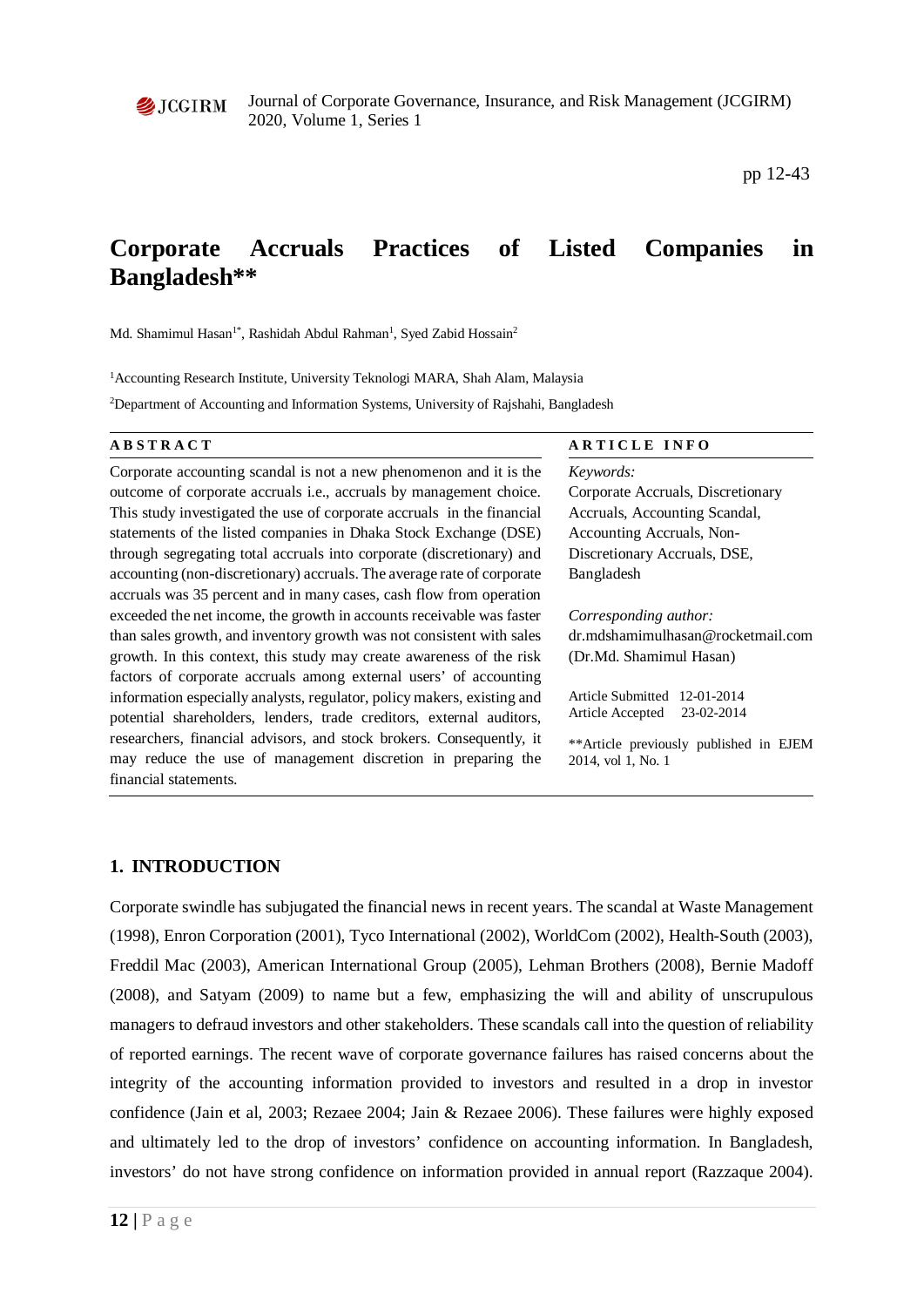

pp 12-43

# **Corporate Accruals Practices of Listed Companies in Bangladesh\*\***

Md. Shamimul Hasan<sup>1\*</sup>, Rashidah Abdul Rahman<sup>1</sup>, Syed Zabid Hossain<sup>2</sup>

<sup>1</sup> Accounting Research Institute, University Teknologi MARA, Shah Alam, Malaysia

2 Department of Accounting and Information Systems, University of Rajshahi, Bangladesh

Corporate accounting scandal is not a new phenomenon and it is the outcome of corporate accruals i.e., accruals by management choice. This study investigated the use of corporate accruals in the financial statements of the listed companies in Dhaka Stock Exchange (DSE) through segregating total accruals into corporate (discretionary) and accounting (non-discretionary) accruals. The average rate of corporate accruals was 35 percent and in many cases, cash flow from operation exceeded the net income, the growth in accounts receivable was faster than sales growth, and inventory growth was not consistent with sales growth. In this context, this study may create awareness of the risk factors of corporate accruals among external users' of accounting information especially analysts, regulator, policy makers, existing and potential shareholders, lenders, trade creditors, external auditors, researchers, financial advisors, and stock brokers. Consequently, it may reduce the use of management discretion in preparing the financial statements.

#### **ABSTRACT** ARTICLE INFO

*Keywords:* Corporate Accruals, Discretionary Accruals, Accounting Scandal, Accounting Accruals, Non-Discretionary Accruals, DSE, Bangladesh

*Corresponding author:* 

dr.mdshamimulhasan@rocketmail.com (Dr.Md. Shamimul Hasan)

Article Submitted 12-01-2014 Article Accepted 23-02-2014

\*\*Article previously published in EJEM 2014, vol 1, No. 1

### **1. INTRODUCTION**

Corporate swindle has subjugated the financial news in recent years. The scandal at Waste Management (1998), Enron Corporation (2001), Tyco International (2002), WorldCom (2002), Health-South (2003), Freddil Mac (2003), American International Group (2005), Lehman Brothers (2008), Bernie Madoff (2008), and Satyam (2009) to name but a few, emphasizing the will and ability of unscrupulous managers to defraud investors and other stakeholders. These scandals call into the question of reliability of reported earnings. The recent wave of corporate governance failures has raised concerns about the integrity of the accounting information provided to investors and resulted in a drop in investor confidence (Jain et al, 2003; Rezaee 2004; Jain & Rezaee 2006). These failures were highly exposed and ultimately led to the drop of investors' confidence on accounting information. In Bangladesh, investors' do not have strong confidence on information provided in annual report (Razzaque 2004).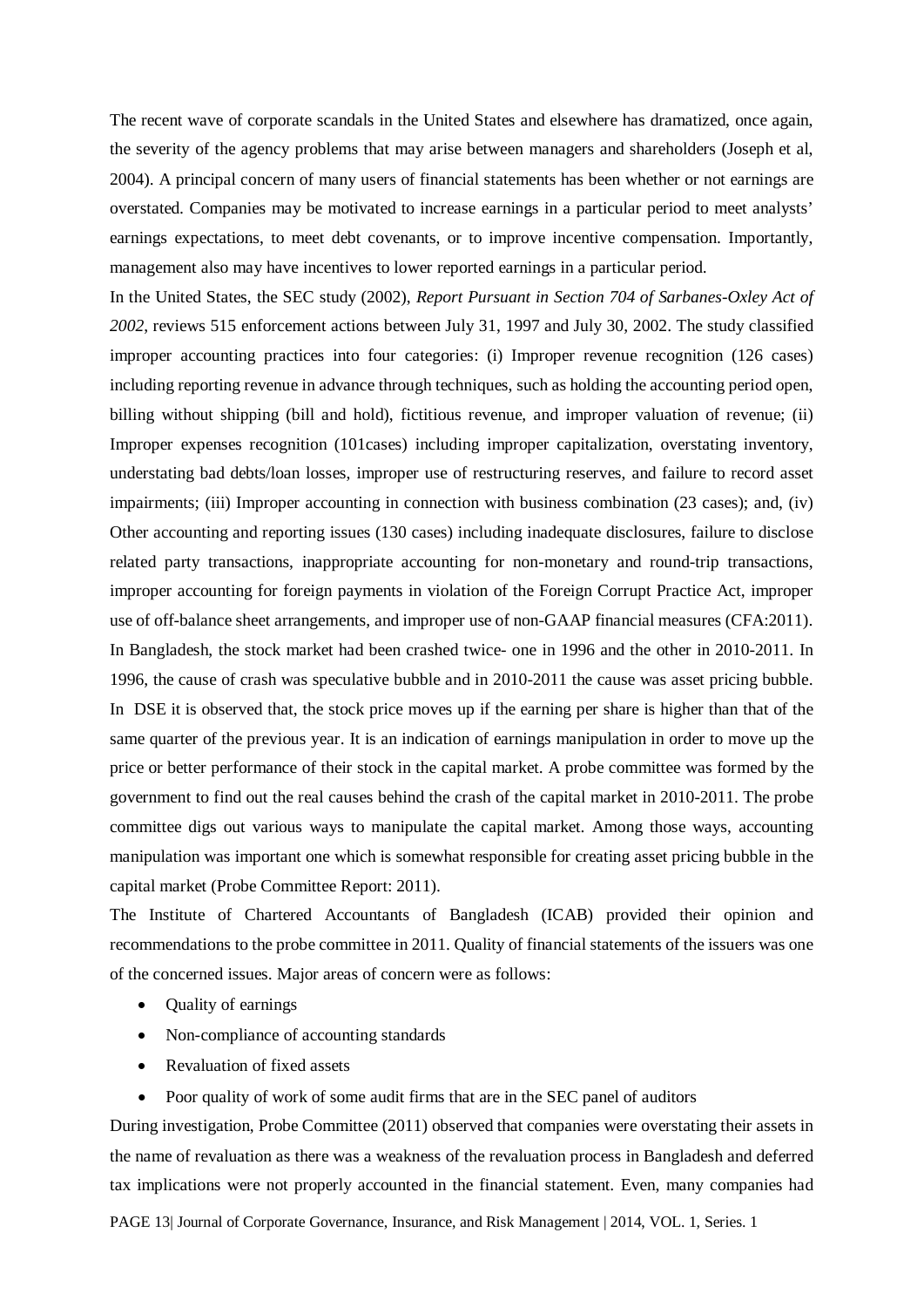The recent wave of corporate scandals in the United States and elsewhere has dramatized, once again, the severity of the agency problems that may arise between managers and shareholders (Joseph et al, 2004). A principal concern of many users of financial statements has been whether or not earnings are overstated. Companies may be motivated to increase earnings in a particular period to meet analysts' earnings expectations, to meet debt covenants, or to improve incentive compensation. Importantly, management also may have incentives to lower reported earnings in a particular period.

In the United States, the SEC study (2002), *Report Pursuant in Section 704 of Sarbanes-Oxley Act of 2002*, reviews 515 enforcement actions between July 31, 1997 and July 30, 2002. The study classified improper accounting practices into four categories: (i) Improper revenue recognition (126 cases) including reporting revenue in advance through techniques, such as holding the accounting period open, billing without shipping (bill and hold), fictitious revenue, and improper valuation of revenue; (ii) Improper expenses recognition (101cases) including improper capitalization, overstating inventory, understating bad debts/loan losses, improper use of restructuring reserves, and failure to record asset impairments; (iii) Improper accounting in connection with business combination (23 cases); and, (iv) Other accounting and reporting issues (130 cases) including inadequate disclosures, failure to disclose related party transactions, inappropriate accounting for non-monetary and round-trip transactions, improper accounting for foreign payments in violation of the Foreign Corrupt Practice Act, improper use of off-balance sheet arrangements, and improper use of non-GAAP financial measures (CFA:2011). In Bangladesh, the stock market had been crashed twice- one in 1996 and the other in 2010-2011. In 1996, the cause of crash was speculative bubble and in 2010-2011 the cause was asset pricing bubble. In DSE it is observed that, the stock price moves up if the earning per share is higher than that of the same quarter of the previous year. It is an indication of earnings manipulation in order to move up the price or better performance of their stock in the capital market. A probe committee was formed by the government to find out the real causes behind the crash of the capital market in 2010-2011. The probe committee digs out various ways to manipulate the capital market. Among those ways, accounting manipulation was important one which is somewhat responsible for creating asset pricing bubble in the capital market (Probe Committee Report: 2011).

The Institute of Chartered Accountants of Bangladesh (ICAB) provided their opinion and recommendations to the probe committee in 2011. Quality of financial statements of the issuers was one of the concerned issues. Major areas of concern were as follows:

- Quality of earnings
- Non-compliance of accounting standards
- Revaluation of fixed assets
- Poor quality of work of some audit firms that are in the SEC panel of auditors

During investigation, Probe Committee (2011) observed that companies were overstating their assets in the name of revaluation as there was a weakness of the revaluation process in Bangladesh and deferred tax implications were not properly accounted in the financial statement. Even, many companies had

PAGE 13| Journal of Corporate Governance, Insurance, and Risk Management | 2014, VOL. 1, Series. 1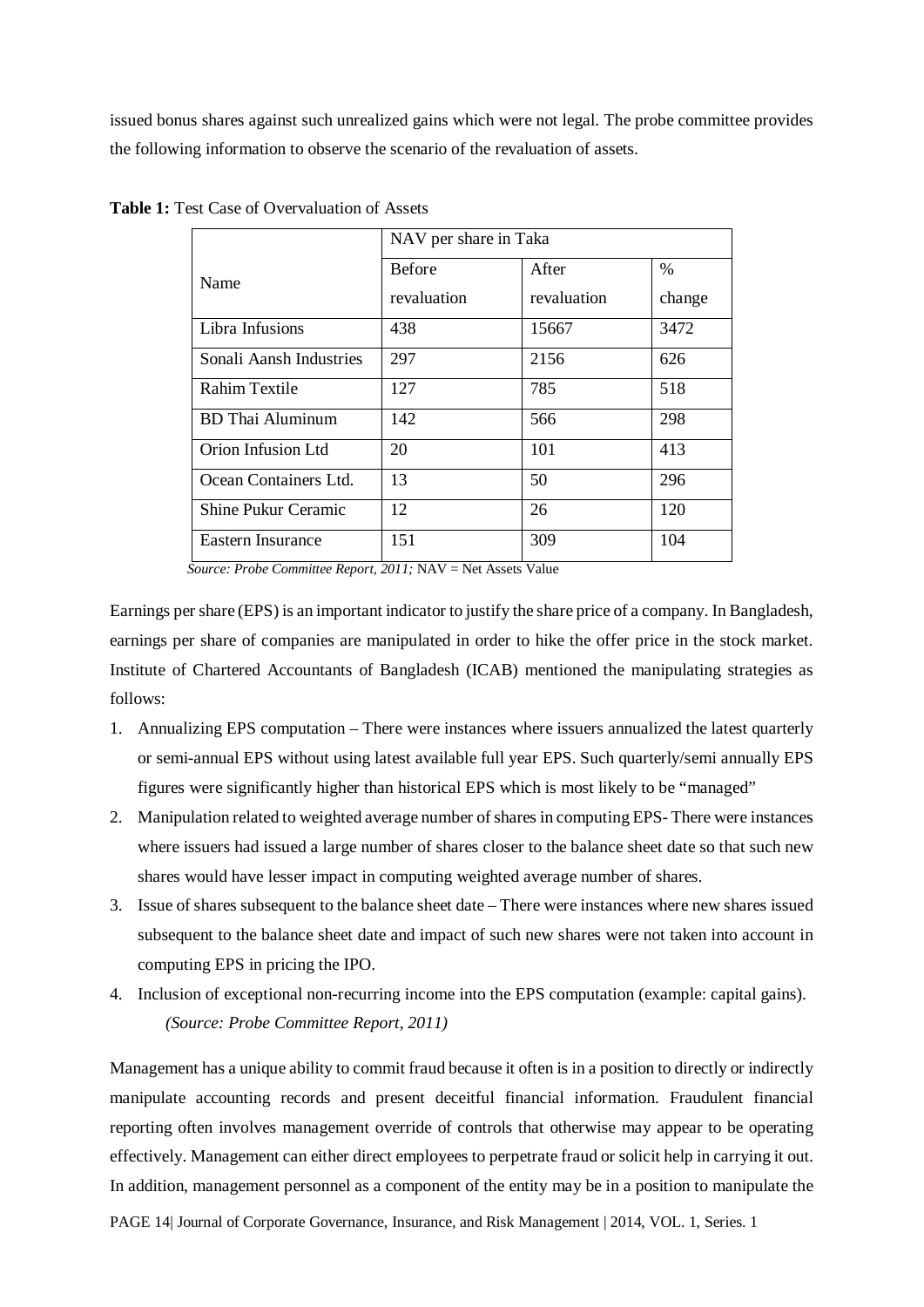issued bonus shares against such unrealized gains which were not legal. The probe committee provides the following information to observe the scenario of the revaluation of assets.

|                          | NAV per share in Taka |             |        |  |  |  |
|--------------------------|-----------------------|-------------|--------|--|--|--|
| Name                     | <b>Before</b>         | After       | %      |  |  |  |
|                          | revaluation           | revaluation | change |  |  |  |
| Libra Infusions          | 438                   | 15667       | 3472   |  |  |  |
| Sonali Aansh Industries  | 297                   | 2156        | 626    |  |  |  |
| <b>Rahim Textile</b>     | 127                   | 785         | 518    |  |  |  |
| <b>BD</b> Thai Aluminum  | 142                   | 566         | 298    |  |  |  |
| Orion Infusion Ltd       | 20                    | 101         | 413    |  |  |  |
| Ocean Containers Ltd.    | 13                    | 50          | 296    |  |  |  |
| Shine Pukur Ceramic      | 12                    | 26          | 120    |  |  |  |
| <b>Eastern Insurance</b> | 151                   | 309         | 104    |  |  |  |

**Table 1:** Test Case of Overvaluation of Assets

 *Source: Probe Committee Report, 2011;* NAV = Net Assets Value

Earnings per share (EPS) is an important indicator to justify the share price of a company. In Bangladesh, earnings per share of companies are manipulated in order to hike the offer price in the stock market. Institute of Chartered Accountants of Bangladesh (ICAB) mentioned the manipulating strategies as follows:

- 1. Annualizing EPS computation There were instances where issuers annualized the latest quarterly or semi-annual EPS without using latest available full year EPS. Such quarterly/semi annually EPS figures were significantly higher than historical EPS which is most likely to be "managed"
- 2. Manipulation related to weighted average number of shares in computing EPS- There were instances where issuers had issued a large number of shares closer to the balance sheet date so that such new shares would have lesser impact in computing weighted average number of shares.
- 3. Issue of shares subsequent to the balance sheet date There were instances where new shares issued subsequent to the balance sheet date and impact of such new shares were not taken into account in computing EPS in pricing the IPO.
- 4. Inclusion of exceptional non-recurring income into the EPS computation (example: capital gains). *(Source: Probe Committee Report, 2011)*

Management has a unique ability to commit fraud because it often is in a position to directly or indirectly manipulate accounting records and present deceitful financial information. Fraudulent financial reporting often involves management override of controls that otherwise may appear to be operating effectively. Management can either direct employees to perpetrate fraud or solicit help in carrying it out. In addition, management personnel as a component of the entity may be in a position to manipulate the

PAGE 14| Journal of Corporate Governance, Insurance, and Risk Management | 2014, VOL. 1, Series. 1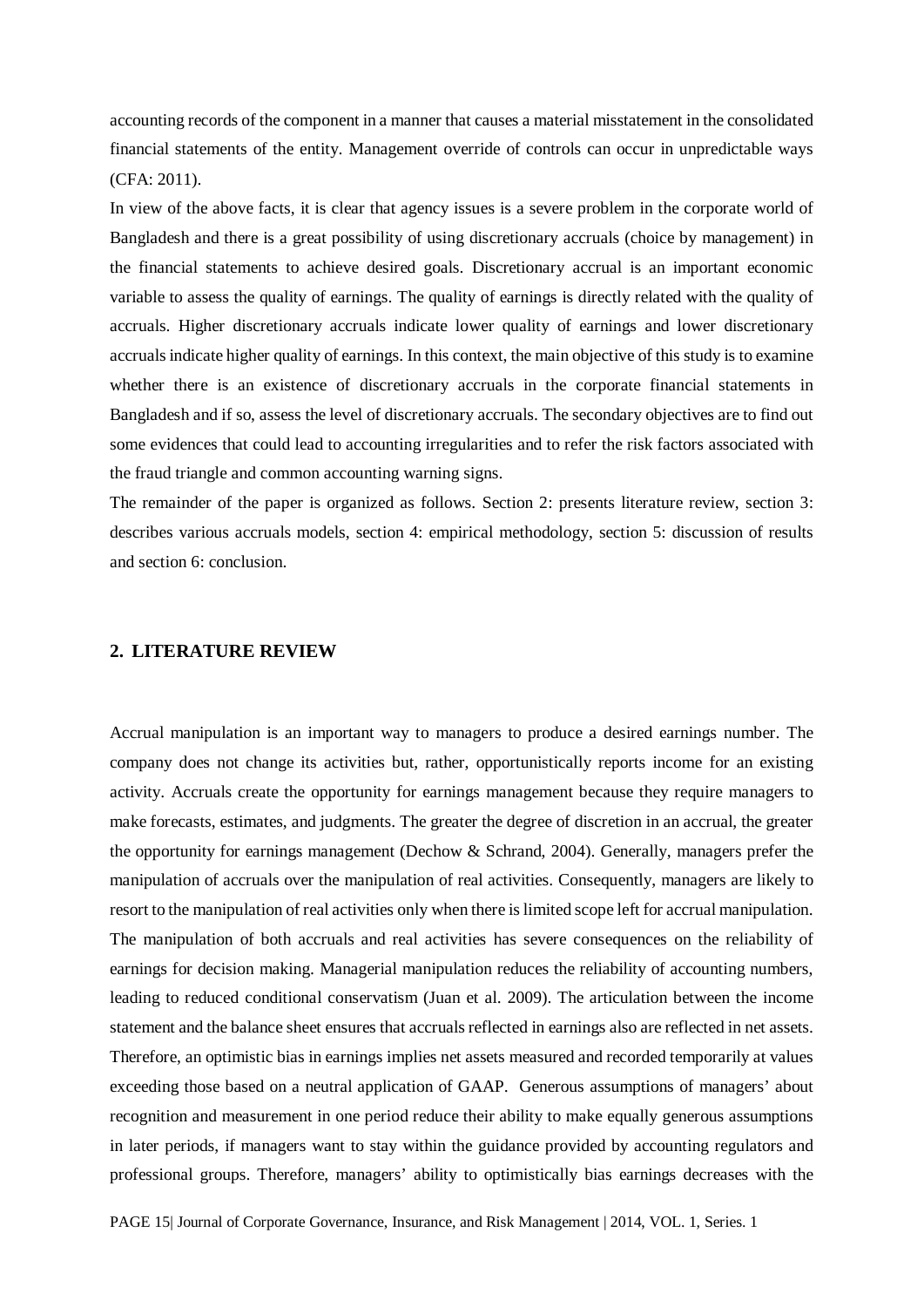accounting records of the component in a manner that causes a material misstatement in the consolidated financial statements of the entity. Management override of controls can occur in unpredictable ways (CFA: 2011).

In view of the above facts, it is clear that agency issues is a severe problem in the corporate world of Bangladesh and there is a great possibility of using discretionary accruals (choice by management) in the financial statements to achieve desired goals. Discretionary accrual is an important economic variable to assess the quality of earnings. The quality of earnings is directly related with the quality of accruals. Higher discretionary accruals indicate lower quality of earnings and lower discretionary accruals indicate higher quality of earnings. In this context, the main objective of this study is to examine whether there is an existence of discretionary accruals in the corporate financial statements in Bangladesh and if so, assess the level of discretionary accruals. The secondary objectives are to find out some evidences that could lead to accounting irregularities and to refer the risk factors associated with the fraud triangle and common accounting warning signs.

The remainder of the paper is organized as follows. Section 2: presents literature review, section 3: describes various accruals models, section 4: empirical methodology, section 5: discussion of results and section 6: conclusion.

#### **2. LITERATURE REVIEW**

Accrual manipulation is an important way to managers to produce a desired earnings number. The company does not change its activities but, rather, opportunistically reports income for an existing activity. Accruals create the opportunity for earnings management because they require managers to make forecasts, estimates, and judgments. The greater the degree of discretion in an accrual, the greater the opportunity for earnings management (Dechow & Schrand, 2004). Generally, managers prefer the manipulation of accruals over the manipulation of real activities. Consequently, managers are likely to resort to the manipulation of real activities only when there is limited scope left for accrual manipulation. The manipulation of both accruals and real activities has severe consequences on the reliability of earnings for decision making. Managerial manipulation reduces the reliability of accounting numbers, leading to reduced conditional conservatism (Juan et al. 2009). The articulation between the income statement and the balance sheet ensures that accruals reflected in earnings also are reflected in net assets. Therefore, an optimistic bias in earnings implies net assets measured and recorded temporarily at values exceeding those based on a neutral application of GAAP. Generous assumptions of managers' about recognition and measurement in one period reduce their ability to make equally generous assumptions in later periods, if managers want to stay within the guidance provided by accounting regulators and professional groups. Therefore, managers' ability to optimistically bias earnings decreases with the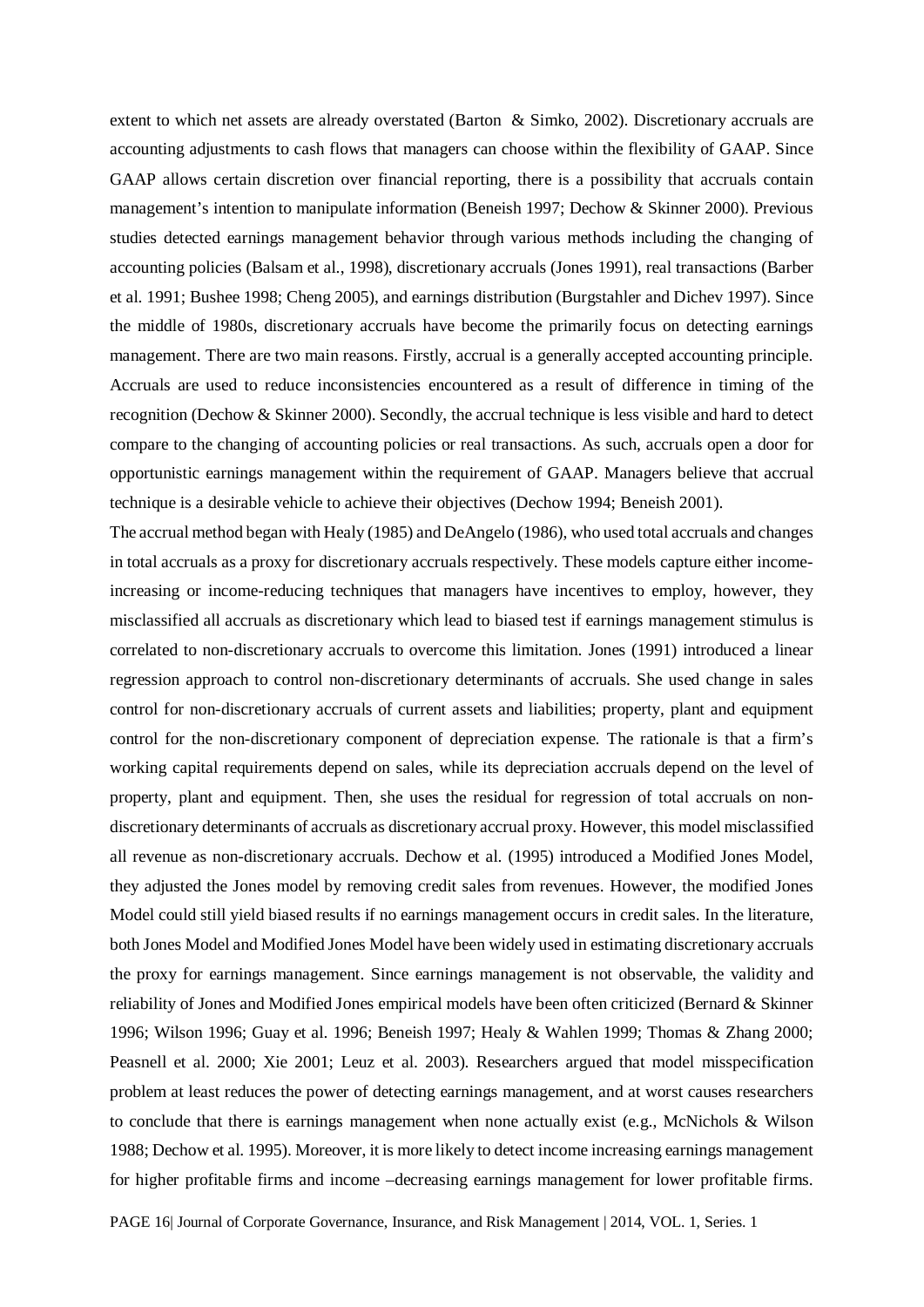extent to which net assets are already overstated (Barton & Simko, 2002). Discretionary accruals are accounting adjustments to cash flows that managers can choose within the flexibility of GAAP. Since GAAP allows certain discretion over financial reporting, there is a possibility that accruals contain management's intention to manipulate information (Beneish 1997; Dechow & Skinner 2000). Previous studies detected earnings management behavior through various methods including the changing of accounting policies (Balsam et al., 1998), discretionary accruals (Jones 1991), real transactions (Barber et al. 1991; Bushee 1998; Cheng 2005), and earnings distribution (Burgstahler and Dichev 1997). Since the middle of 1980s, discretionary accruals have become the primarily focus on detecting earnings management. There are two main reasons. Firstly, accrual is a generally accepted accounting principle. Accruals are used to reduce inconsistencies encountered as a result of difference in timing of the recognition (Dechow & Skinner 2000). Secondly, the accrual technique is less visible and hard to detect compare to the changing of accounting policies or real transactions. As such, accruals open a door for opportunistic earnings management within the requirement of GAAP. Managers believe that accrual technique is a desirable vehicle to achieve their objectives (Dechow 1994; Beneish 2001).

The accrual method began with Healy (1985) and DeAngelo (1986), who used total accruals and changes in total accruals as a proxy for discretionary accruals respectively. These models capture either incomeincreasing or income-reducing techniques that managers have incentives to employ, however, they misclassified all accruals as discretionary which lead to biased test if earnings management stimulus is correlated to non-discretionary accruals to overcome this limitation. Jones (1991) introduced a linear regression approach to control non-discretionary determinants of accruals. She used change in sales control for non-discretionary accruals of current assets and liabilities; property, plant and equipment control for the non-discretionary component of depreciation expense. The rationale is that a firm's working capital requirements depend on sales, while its depreciation accruals depend on the level of property, plant and equipment. Then, she uses the residual for regression of total accruals on nondiscretionary determinants of accruals as discretionary accrual proxy. However, this model misclassified all revenue as non-discretionary accruals. Dechow et al. (1995) introduced a Modified Jones Model, they adjusted the Jones model by removing credit sales from revenues. However, the modified Jones Model could still yield biased results if no earnings management occurs in credit sales. In the literature, both Jones Model and Modified Jones Model have been widely used in estimating discretionary accruals the proxy for earnings management. Since earnings management is not observable, the validity and reliability of Jones and Modified Jones empirical models have been often criticized (Bernard & Skinner 1996; Wilson 1996; Guay et al. 1996; Beneish 1997; Healy & Wahlen 1999; Thomas & Zhang 2000; Peasnell et al. 2000; Xie 2001; Leuz et al. 2003). Researchers argued that model misspecification problem at least reduces the power of detecting earnings management, and at worst causes researchers to conclude that there is earnings management when none actually exist (e.g., McNichols & Wilson 1988; Dechow et al. 1995). Moreover, it is more likely to detect income increasing earnings management for higher profitable firms and income –decreasing earnings management for lower profitable firms.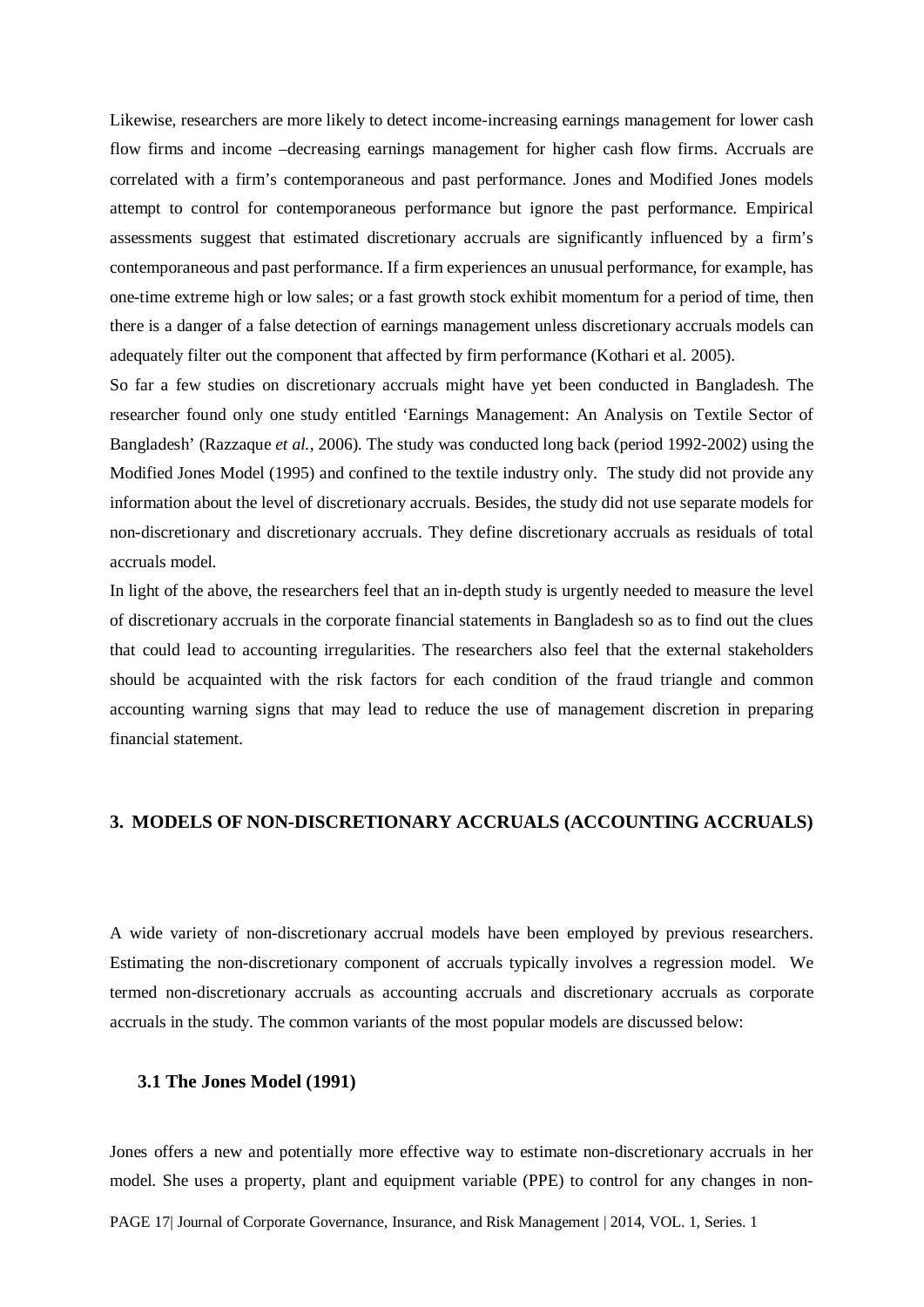Likewise, researchers are more likely to detect income-increasing earnings management for lower cash flow firms and income –decreasing earnings management for higher cash flow firms. Accruals are correlated with a firm's contemporaneous and past performance. Jones and Modified Jones models attempt to control for contemporaneous performance but ignore the past performance. Empirical assessments suggest that estimated discretionary accruals are significantly influenced by a firm's contemporaneous and past performance. If a firm experiences an unusual performance, for example, has one-time extreme high or low sales; or a fast growth stock exhibit momentum for a period of time, then there is a danger of a false detection of earnings management unless discretionary accruals models can adequately filter out the component that affected by firm performance (Kothari et al. 2005).

So far a few studies on discretionary accruals might have yet been conducted in Bangladesh. The researcher found only one study entitled 'Earnings Management: An Analysis on Textile Sector of Bangladesh' (Razzaque *et al.*, 2006). The study was conducted long back (period 1992-2002) using the Modified Jones Model (1995) and confined to the textile industry only. The study did not provide any information about the level of discretionary accruals. Besides, the study did not use separate models for non-discretionary and discretionary accruals. They define discretionary accruals as residuals of total accruals model.

In light of the above, the researchers feel that an in-depth study is urgently needed to measure the level of discretionary accruals in the corporate financial statements in Bangladesh so as to find out the clues that could lead to accounting irregularities. The researchers also feel that the external stakeholders should be acquainted with the risk factors for each condition of the fraud triangle and common accounting warning signs that may lead to reduce the use of management discretion in preparing financial statement.

#### **3. MODELS OF NON-DISCRETIONARY ACCRUALS (ACCOUNTING ACCRUALS)**

A wide variety of non-discretionary accrual models have been employed by previous researchers. Estimating the non-discretionary component of accruals typically involves a regression model. We termed non-discretionary accruals as accounting accruals and discretionary accruals as corporate accruals in the study. The common variants of the most popular models are discussed below:

#### **3.1 The Jones Model (1991)**

Jones offers a new and potentially more effective way to estimate non-discretionary accruals in her model. She uses a property, plant and equipment variable (PPE) to control for any changes in non-

PAGE 17| Journal of Corporate Governance, Insurance, and Risk Management | 2014, VOL. 1, Series. 1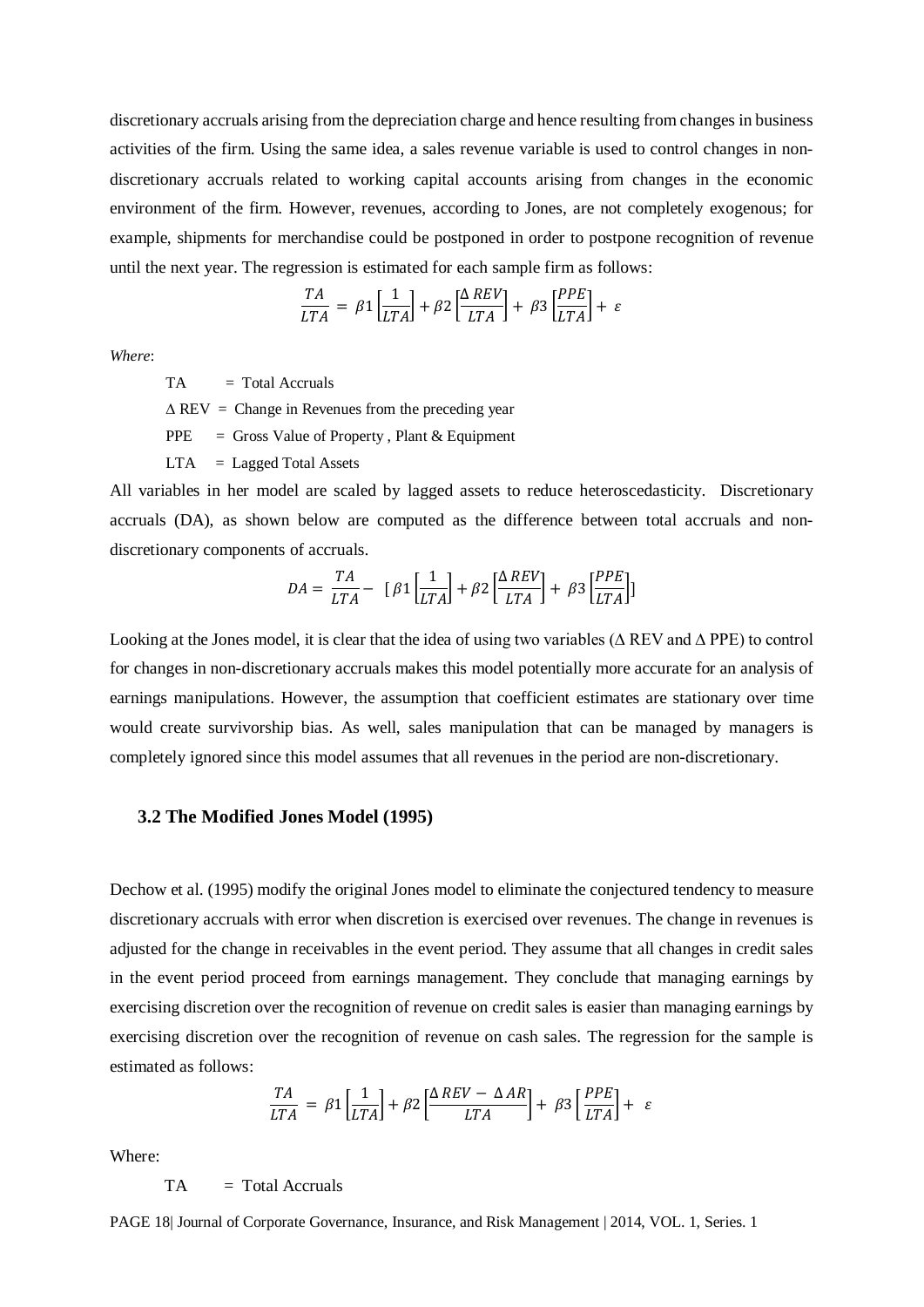discretionary accruals arising from the depreciation charge and hence resulting from changes in business activities of the firm. Using the same idea, a sales revenue variable is used to control changes in nondiscretionary accruals related to working capital accounts arising from changes in the economic environment of the firm. However, revenues, according to Jones, are not completely exogenous; for example, shipments for merchandise could be postponed in order to postpone recognition of revenue until the next year. The regression is estimated for each sample firm as follows:

$$
\frac{TA}{LTA} = \beta 1 \left[ \frac{1}{LTA} \right] + \beta 2 \left[ \frac{\Delta REV}{LTA} \right] + \beta 3 \left[ \frac{PPE}{LTA} \right] + \varepsilon
$$

*Where*:

 $TA = Total Accruals$ 

 $\triangle$  REV = Change in Revenues from the preceding year

 $PPE =$  Gross Value of Property , Plant & Equipment

 $LTA = Laged Total Assets$ 

All variables in her model are scaled by lagged assets to reduce heteroscedasticity. Discretionary accruals (DA), as shown below are computed as the difference between total accruals and nondiscretionary components of accruals.

$$
DA = \frac{TA}{LTA} - \left[\beta 1 \left[\frac{1}{LTA}\right] + \beta 2 \left[\frac{\Delta REV}{LTA}\right] + \beta 3 \left[\frac{PPE}{LTA}\right]\right]
$$

Looking at the Jones model, it is clear that the idea of using two variables (∆ REV and ∆ PPE) to control for changes in non-discretionary accruals makes this model potentially more accurate for an analysis of earnings manipulations. However, the assumption that coefficient estimates are stationary over time would create survivorship bias. As well, sales manipulation that can be managed by managers is completely ignored since this model assumes that all revenues in the period are non-discretionary.

#### **3.2 The Modified Jones Model (1995)**

Dechow et al. (1995) modify the original Jones model to eliminate the conjectured tendency to measure discretionary accruals with error when discretion is exercised over revenues. The change in revenues is adjusted for the change in receivables in the event period. They assume that all changes in credit sales in the event period proceed from earnings management. They conclude that managing earnings by exercising discretion over the recognition of revenue on credit sales is easier than managing earnings by exercising discretion over the recognition of revenue on cash sales. The regression for the sample is estimated as follows:

$$
\frac{TA}{LTA} = \beta 1 \left[ \frac{1}{LTA} \right] + \beta 2 \left[ \frac{\Delta REV - \Delta AR}{LTA} \right] + \beta 3 \left[ \frac{PPE}{LTA} \right] + \varepsilon
$$

Where:

 $TA = Total Accruals$ 

PAGE 18| Journal of Corporate Governance, Insurance, and Risk Management | 2014, VOL. 1, Series. 1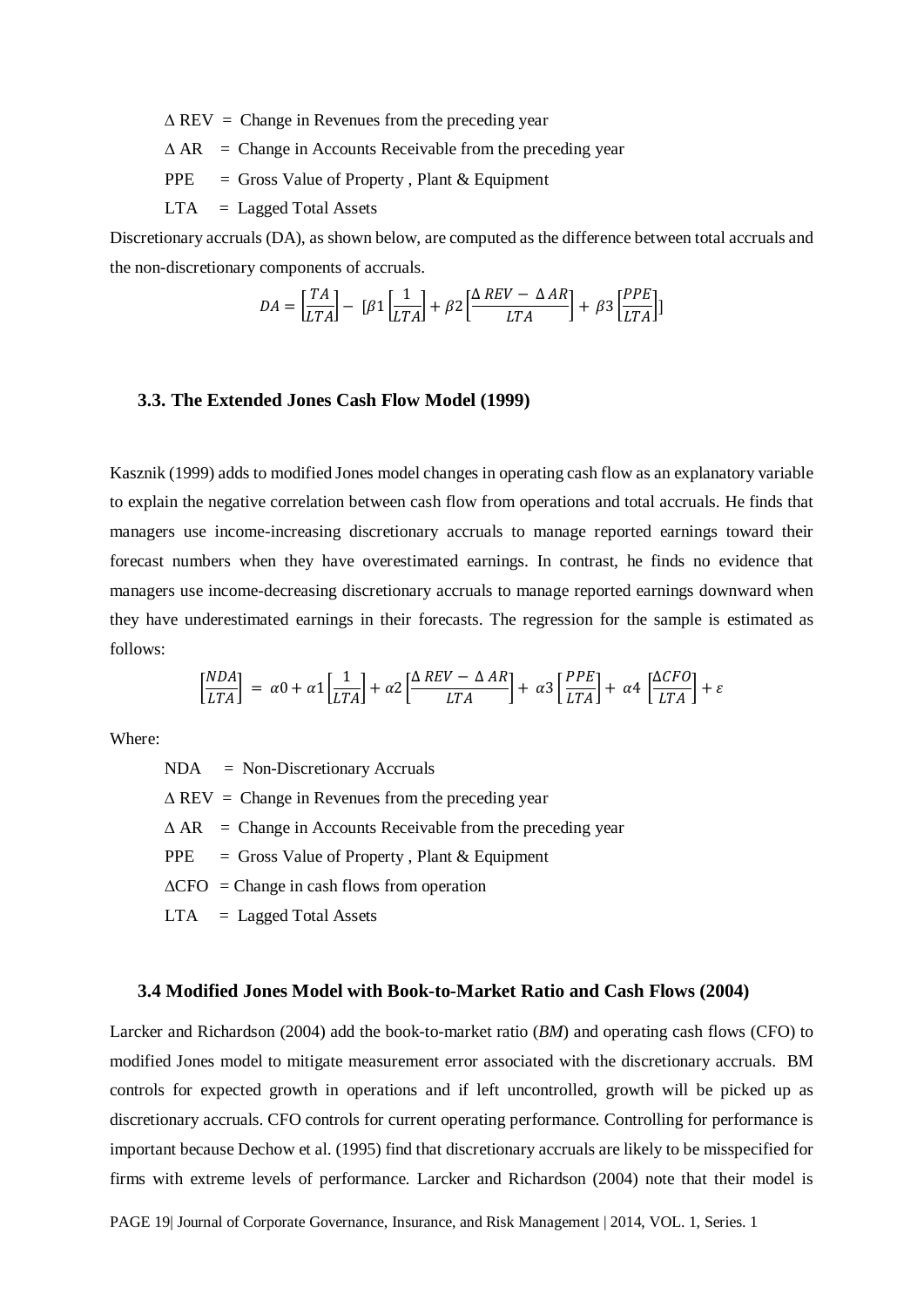$\triangle$  REV = Change in Revenues from the preceding year

 $\triangle AR$  = Change in Accounts Receivable from the preceding year

 $PPE =$  Gross Value of Property, Plant & Equipment

 $LTA = Laged Total Assets$ 

Discretionary accruals (DA), as shown below, are computed as the difference between total accruals and the non-discretionary components of accruals.

$$
DA = \left[\frac{TA}{LTA}\right] - \left[\beta 1 \left[\frac{1}{LTA}\right] + \beta 2 \left[\frac{\Delta REV - \Delta AR}{LTA}\right] + \beta 3 \left[\frac{PPE}{LTA}\right]\right]
$$

#### **3.3. The Extended Jones Cash Flow Model (1999)**

Kasznik (1999) adds to modified Jones model changes in operating cash flow as an explanatory variable to explain the negative correlation between cash flow from operations and total accruals. He finds that managers use income-increasing discretionary accruals to manage reported earnings toward their forecast numbers when they have overestimated earnings. In contrast, he finds no evidence that managers use income-decreasing discretionary accruals to manage reported earnings downward when they have underestimated earnings in their forecasts. The regression for the sample is estimated as follows:

$$
\left[\frac{NDA}{LTA}\right] = \alpha 0 + \alpha 1 \left[\frac{1}{LTA}\right] + \alpha 2 \left[\frac{\Delta REV - \Delta AR}{LTA}\right] + \alpha 3 \left[\frac{PPE}{LTA}\right] + \alpha 4 \left[\frac{\Delta CFO}{LTA}\right] + \varepsilon
$$

Where:

NDA = Non-Discretionary Accruals

 $\triangle$  REV = Change in Revenues from the preceding year

 $\triangle AR$  = Change in Accounts Receivable from the preceding year

 $PPE = Gross Value of Property, Plant & Equipment$ 

- $\triangle$ CFO = Change in cash flows from operation
- $LTA = Lagged Total Assets$

#### **3.4 Modified Jones Model with Book-to-Market Ratio and Cash Flows (2004)**

Larcker and Richardson (2004) add the book-to-market ratio (*BM*) and operating cash flows (CFO) to modified Jones model to mitigate measurement error associated with the discretionary accruals. BM controls for expected growth in operations and if left uncontrolled, growth will be picked up as discretionary accruals. CFO controls for current operating performance. Controlling for performance is important because Dechow et al. (1995) find that discretionary accruals are likely to be misspecified for firms with extreme levels of performance. Larcker and Richardson (2004) note that their model is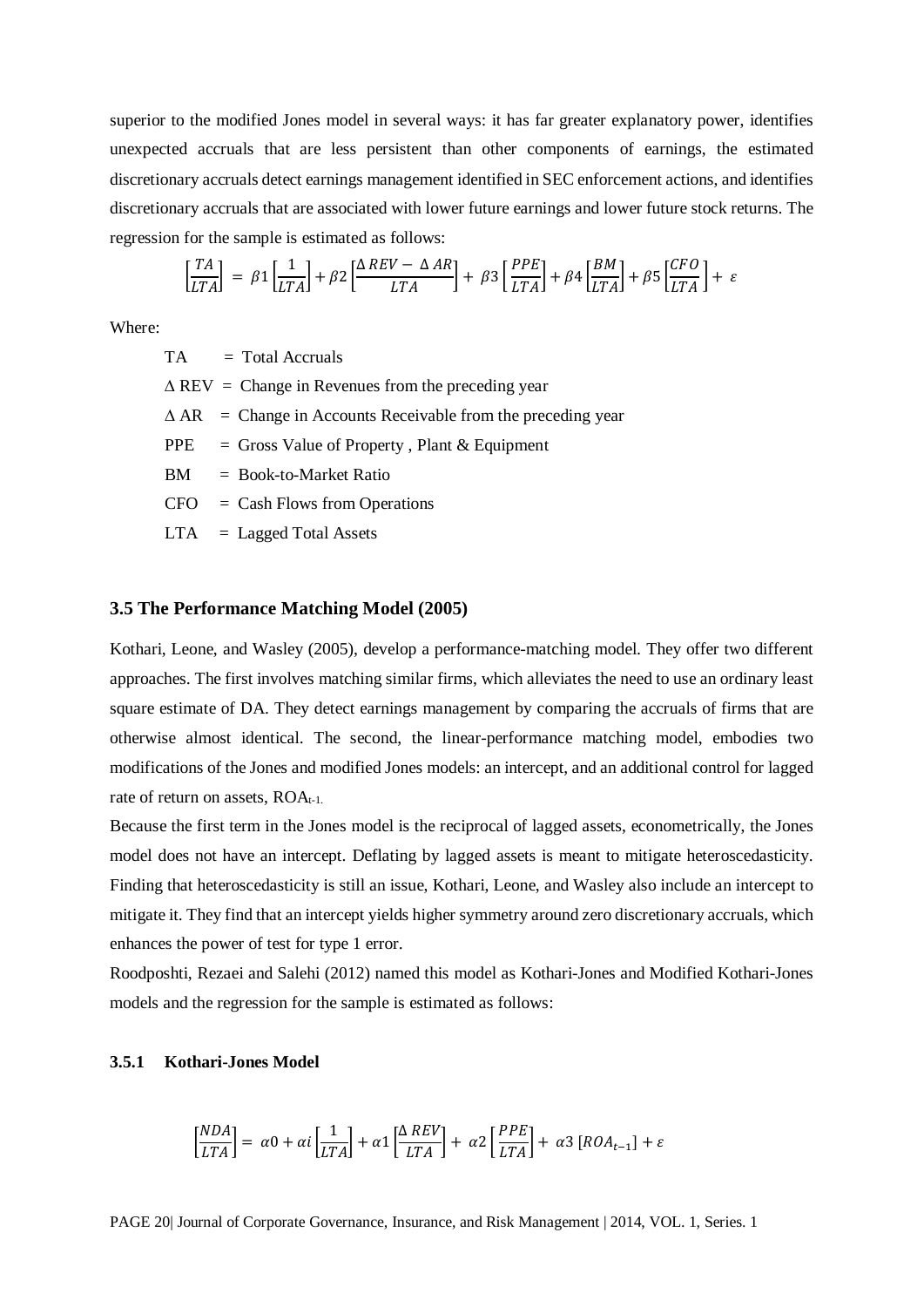superior to the modified Jones model in several ways: it has far greater explanatory power, identifies unexpected accruals that are less persistent than other components of earnings, the estimated discretionary accruals detect earnings management identified in SEC enforcement actions, and identifies discretionary accruals that are associated with lower future earnings and lower future stock returns. The regression for the sample is estimated as follows:

$$
\left[\frac{TA}{LTA}\right] = \beta 1 \left[\frac{1}{LTA}\right] + \beta 2 \left[\frac{\Delta REV - \Delta AR}{LTA}\right] + \beta 3 \left[\frac{PPE}{LTA}\right] + \beta 4 \left[\frac{BM}{LTA}\right] + \beta 5 \left[\frac{CFO}{LTA}\right] + \varepsilon
$$

Where:

 $TA = Total Accruals$ 

 $\triangle$  REV = Change in Revenues from the preceding year

 $\triangle AR$  = Change in Accounts Receivable from the preceding year

 $PPE = Gross Value of Property, Plant & Equipment$ 

BM = Book-to-Market Ratio

 $CFO = Cash Flows from Operations$ 

LTA = Lagged Total Assets

### **3.5 The Performance Matching Model (2005)**

Kothari, Leone, and Wasley (2005), develop a performance-matching model. They offer two different approaches. The first involves matching similar firms, which alleviates the need to use an ordinary least square estimate of DA. They detect earnings management by comparing the accruals of firms that are otherwise almost identical. The second, the linear-performance matching model, embodies two modifications of the Jones and modified Jones models: an intercept, and an additional control for lagged rate of return on assets,  $ROA_{t-1}$ .

Because the first term in the Jones model is the reciprocal of lagged assets, econometrically, the Jones model does not have an intercept. Deflating by lagged assets is meant to mitigate heteroscedasticity. Finding that heteroscedasticity is still an issue, Kothari, Leone, and Wasley also include an intercept to mitigate it. They find that an intercept yields higher symmetry around zero discretionary accruals, which enhances the power of test for type 1 error.

Roodposhti, Rezaei and Salehi (2012) named this model as Kothari-Jones and Modified Kothari-Jones models and the regression for the sample is estimated as follows:

### **3.5.1 Kothari-Jones Model**

$$
\left[\frac{NDA}{LTA}\right] = \alpha 0 + \alpha i \left[\frac{1}{LTA}\right] + \alpha 1 \left[\frac{\Delta REV}{LTA}\right] + \alpha 2 \left[\frac{PPE}{LTA}\right] + \alpha 3 \left[ROA_{t-1}\right] + \varepsilon
$$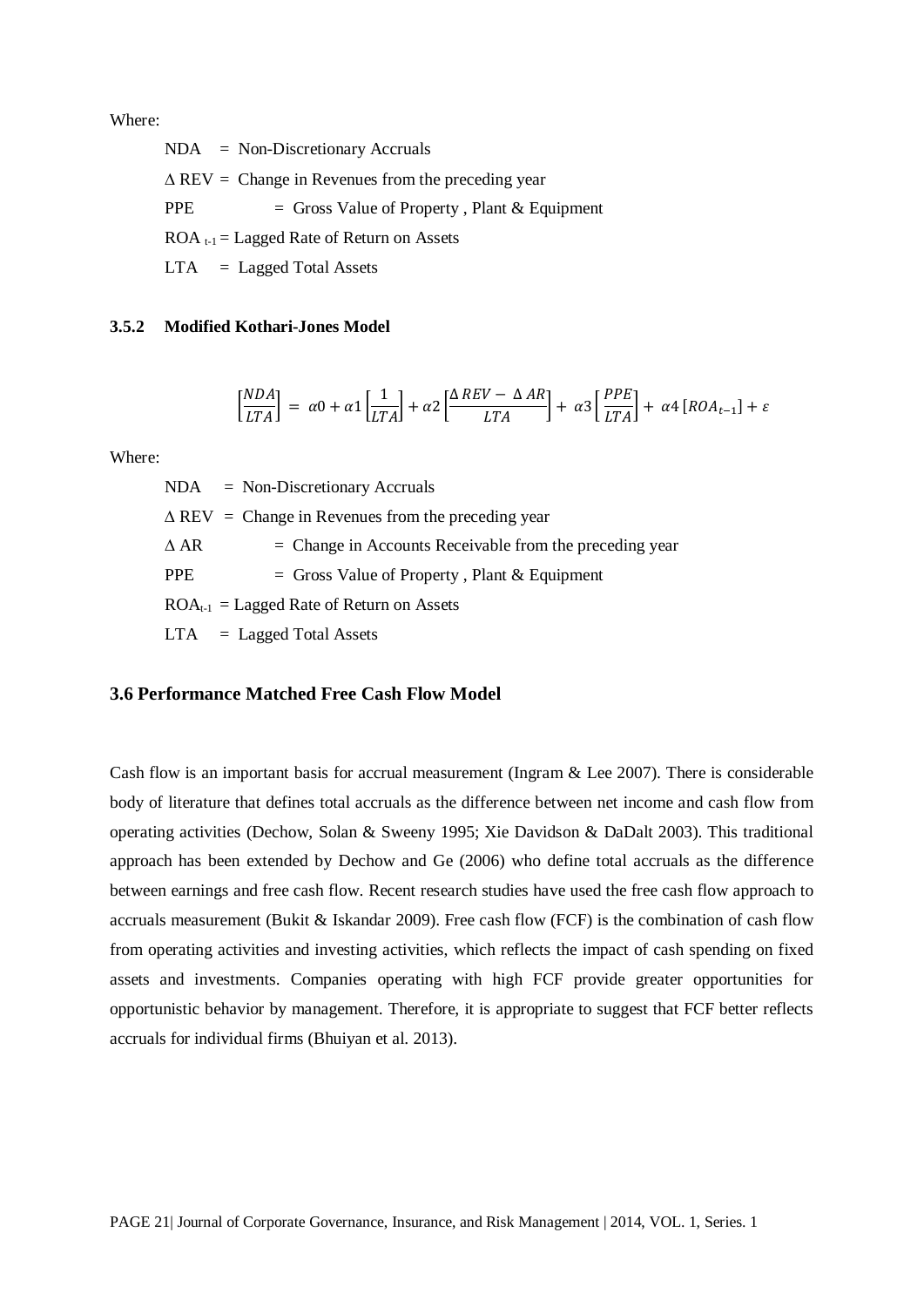Where:

| $NDA$ = Non-Discretionary Accruals                           |
|--------------------------------------------------------------|
| $\triangle$ REV = Change in Revenues from the preceding year |
| PPE.<br>$=$ Gross Value of Property, Plant & Equipment       |
| $\text{ROA}_{t-1}$ = Lagged Rate of Return on Assets         |
| $LTA = Laged Total Assets$                                   |

#### **3.5.2 Modified Kothari-Jones Model**

$$
\left[\frac{NDA}{LTA}\right] = \alpha 0 + \alpha 1 \left[\frac{1}{LTA}\right] + \alpha 2 \left[\frac{\Delta REV - \Delta AR}{LTA}\right] + \alpha 3 \left[\frac{PPE}{LTA}\right] + \alpha 4 \left[ROA_{t-1}\right] + \varepsilon
$$

Where:

 $NDA$  = Non-Discretionary Accruals  $\triangle$  REV = Change in Revenues from the preceding year  $\triangle$  AR  $=$  Change in Accounts Receivable from the preceding year PPE  $=$  Gross Value of Property, Plant & Equipment  $ROA_{t-1} = Lagged Rate of Return on Assets$  $LTA = Lagged Total Assets$ 

## **3.6 Performance Matched Free Cash Flow Model**

Cash flow is an important basis for accrual measurement (Ingram & Lee 2007). There is considerable body of literature that defines total accruals as the difference between net income and cash flow from operating activities (Dechow, Solan & Sweeny 1995; Xie Davidson & DaDalt 2003). This traditional approach has been extended by Dechow and Ge (2006) who define total accruals as the difference between earnings and free cash flow. Recent research studies have used the free cash flow approach to accruals measurement (Bukit & Iskandar 2009). Free cash flow (FCF) is the combination of cash flow from operating activities and investing activities, which reflects the impact of cash spending on fixed assets and investments. Companies operating with high FCF provide greater opportunities for opportunistic behavior by management. Therefore, it is appropriate to suggest that FCF better reflects accruals for individual firms (Bhuiyan et al. 2013).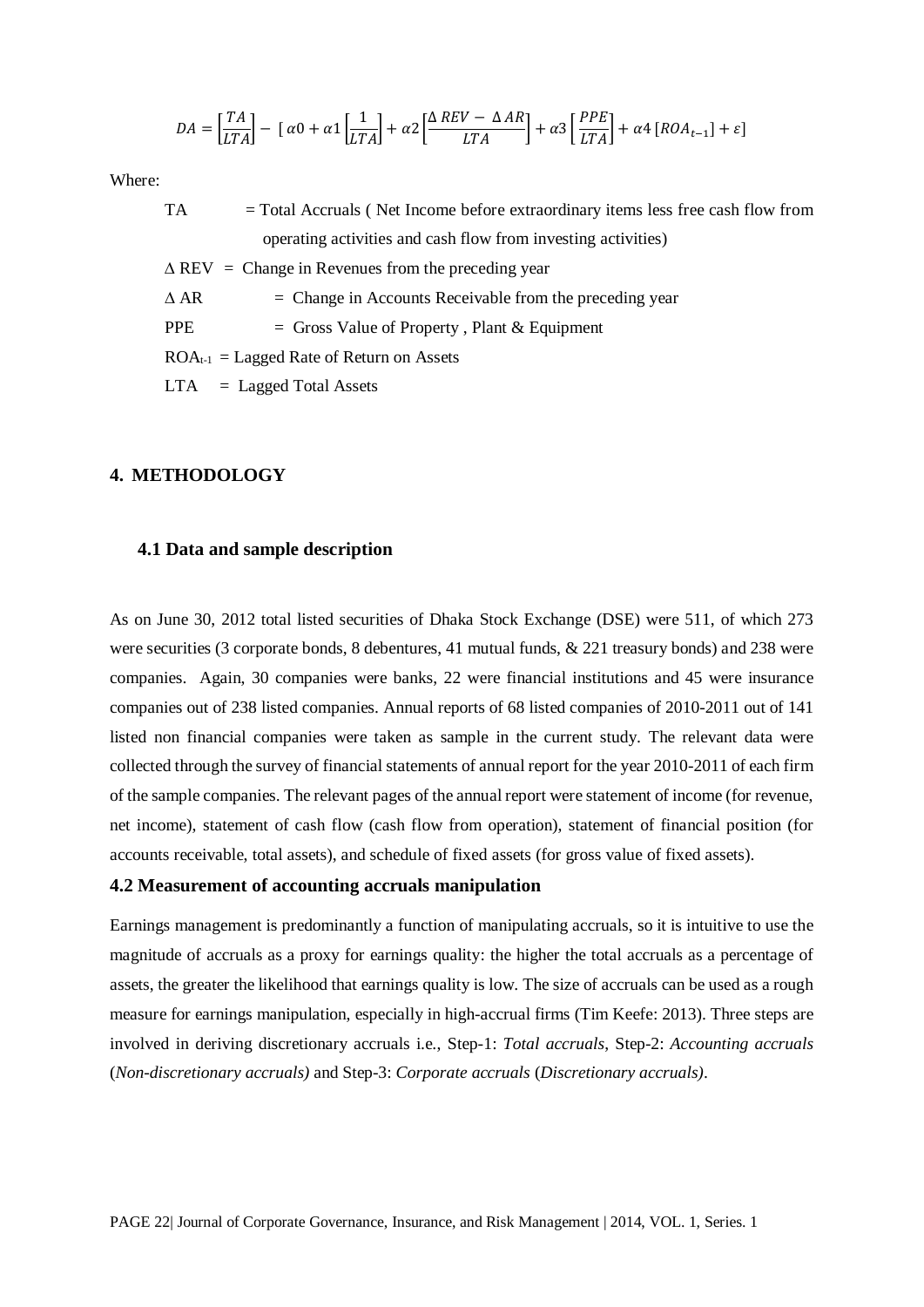$$
DA = \left[\frac{TA}{LTA}\right] - \left[\alpha 0 + \alpha 1\left[\frac{1}{LTA}\right] + \alpha 2\left[\frac{\Delta REV - \Delta AR}{LTA}\right] + \alpha 3\left[\frac{PPE}{LTA}\right] + \alpha 4\left[ROA_{t-1}\right] + \varepsilon\right]
$$

Where:

| TA             | $=$ Total Accruals (Net Income before extraordinary items less free cash flow from |
|----------------|------------------------------------------------------------------------------------|
|                | operating activities and cash flow from investing activities)                      |
|                | $\triangle$ REV = Change in Revenues from the preceding year                       |
| $\triangle$ AR | $=$ Change in Accounts Receivable from the preceding year                          |
| <b>PPE</b>     | $=$ Gross Value of Property, Plant & Equipment                                     |
|                | $ROA_{t-1} = \text{Laged Rate of Return on Assets}$                                |
|                | $LTA = Laged Total Assets$                                                         |

### **4. METHODOLOGY**

#### **4.1 Data and sample description**

As on June 30, 2012 total listed securities of Dhaka Stock Exchange (DSE) were 511, of which 273 were securities (3 corporate bonds, 8 debentures, 41 mutual funds, & 221 treasury bonds) and 238 were companies. Again, 30 companies were banks, 22 were financial institutions and 45 were insurance companies out of 238 listed companies. Annual reports of 68 listed companies of 2010-2011 out of 141 listed non financial companies were taken as sample in the current study. The relevant data were collected through the survey of financial statements of annual report for the year 2010-2011 of each firm of the sample companies. The relevant pages of the annual report were statement of income (for revenue, net income), statement of cash flow (cash flow from operation), statement of financial position (for accounts receivable, total assets), and schedule of fixed assets (for gross value of fixed assets).

#### **4.2 Measurement of accounting accruals manipulation**

Earnings management is predominantly a function of manipulating accruals, so it is intuitive to use the magnitude of accruals as a proxy for earnings quality: the higher the total accruals as a percentage of assets, the greater the likelihood that earnings quality is low. The size of accruals can be used as a rough measure for earnings manipulation, especially in high-accrual firms (Tim Keefe: 2013). Three steps are involved in deriving discretionary accruals i.e., Step-1: *Total accruals*, Step-2: *Accounting accruals*  (*Non-discretionary accruals)* and Step-3: *Corporate accruals* (*Discretionary accruals)*.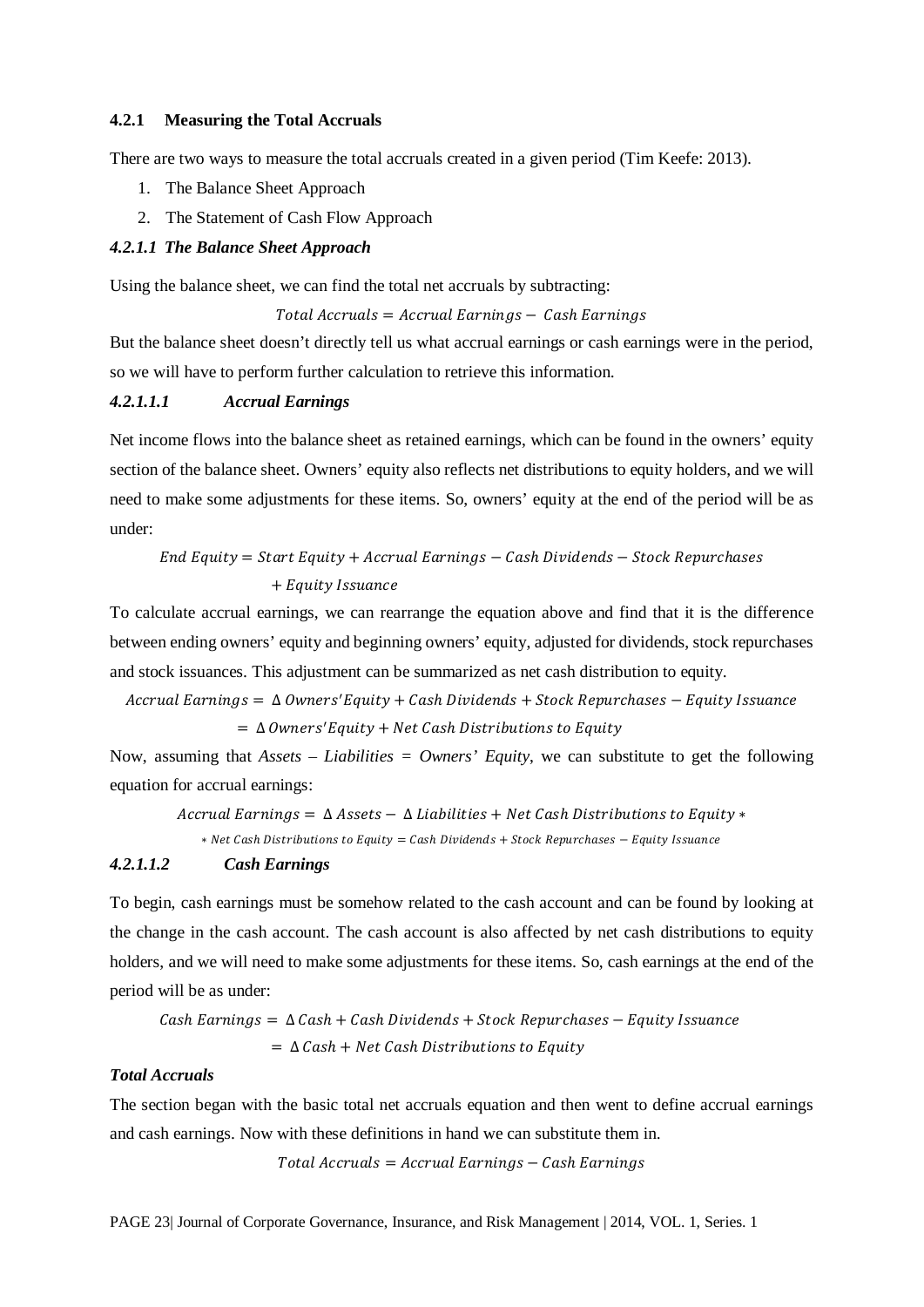#### **4.2.1 Measuring the Total Accruals**

There are two ways to measure the total accruals created in a given period (Tim Keefe: 2013).

- 1. The Balance Sheet Approach
- 2. The Statement of Cash Flow Approach

#### *4.2.1.1 The Balance Sheet Approach*

Using the balance sheet, we can find the total net accruals by subtracting:

#### $Total$  Accruals = Accrual Earnings  $-$  Cash Earnings

But the balance sheet doesn't directly tell us what accrual earnings or cash earnings were in the period, so we will have to perform further calculation to retrieve this information.

#### *4.2.1.1.1 Accrual Earnings*

Net income flows into the balance sheet as retained earnings, which can be found in the owners' equity section of the balance sheet. Owners' equity also reflects net distributions to equity holders, and we will need to make some adjustments for these items. So, owners' equity at the end of the period will be as under:

 = + − ℎ − ℎ +

To calculate accrual earnings, we can rearrange the equation above and find that it is the difference between ending owners' equity and beginning owners' equity, adjusted for dividends, stock repurchases and stock issuances. This adjustment can be summarized as net cash distribution to equity.

```
Accrual\,Earnings = \Delta\,Owners' Equity + Cash Dividends + Stock Repurchases - Equity Issuance
    = \Delta Owners' Equity + Net Cash Distributions to Equity
```
Now, assuming that *Assets – Liabilities = Owners' Equity*, we can substitute to get the following equation for accrual earnings:

 $Accrual \, Earnings = \Delta \, Assets - \Delta \, Liabilities + Net \, Cash \, Distributions \, to \, Equity*$ 

 $*$  Net Cash Distributions to Equity = Cash Dividends + Stock Repurchases - Equity Issuance

### *4.2.1.1.2 Cash Earnings*

To begin, cash earnings must be somehow related to the cash account and can be found by looking at the change in the cash account. The cash account is also affected by net cash distributions to equity holders, and we will need to make some adjustments for these items. So, cash earnings at the end of the period will be as under:

 $Cash\ Earnings = \Delta Cash + Cash\ Dividends + Stock\ Repurchases - Equity\ Issuance$  $= \Delta$  Cash + Net Cash Distributions to Equity

#### *Total Accruals*

The section began with the basic total net accruals equation and then went to define accrual earnings and cash earnings. Now with these definitions in hand we can substitute them in.

 $Total$  Accruals = Accrual Earnings  $-$  Cash Earnings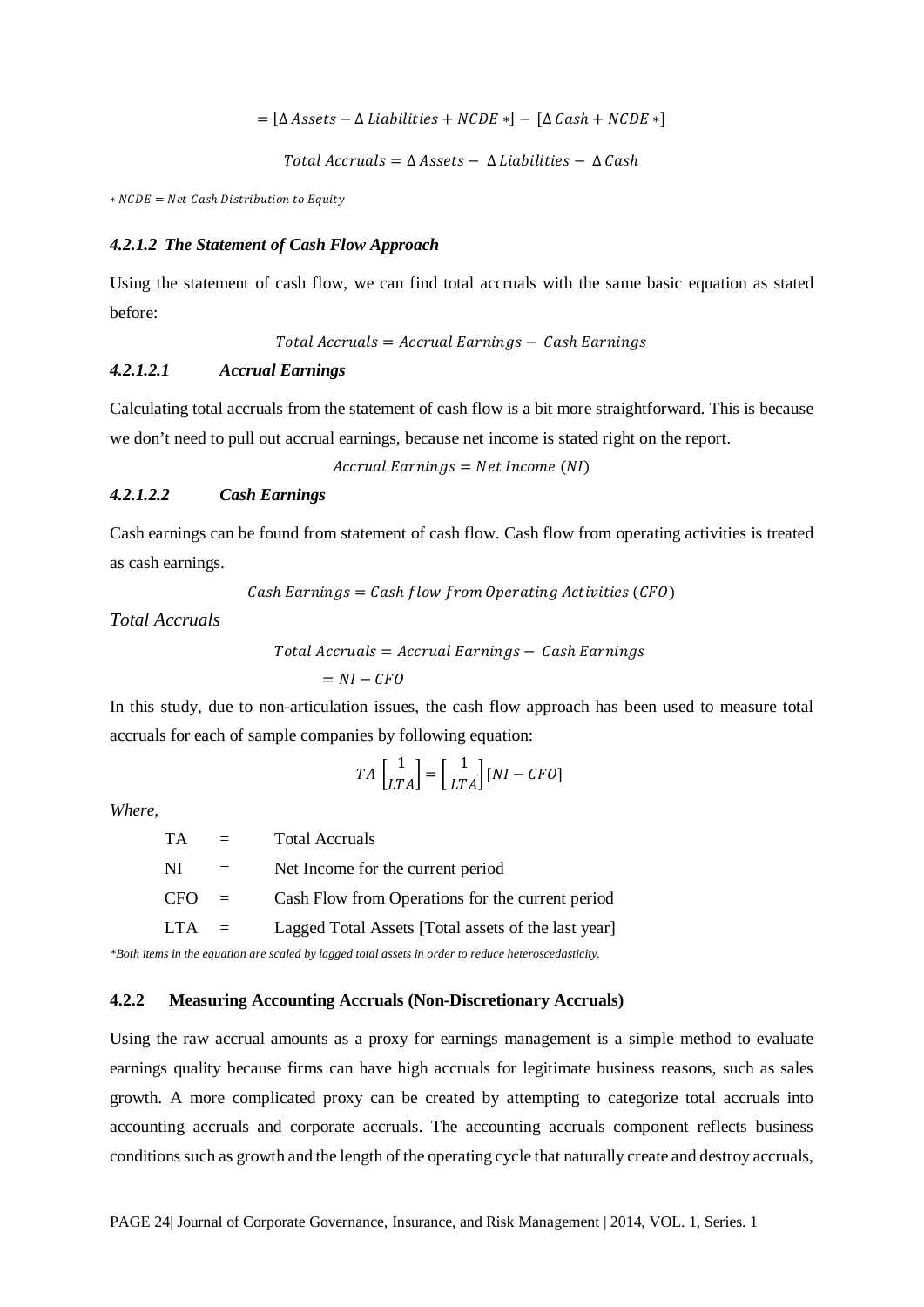$= [\Delta \text{Assets} - \Delta \text{Liabilities} + \text{NCDE *}] - [\Delta \text{Cash} + \text{NCDE *}]$ 

Total Accruals =  $\Delta$  Assets -  $\Delta$  Liabilities -  $\Delta$  Cash

 $*$   $NCDE = Net$  Cash Distribution to Equity

#### *4.2.1.2 The Statement of Cash Flow Approach*

Using the statement of cash flow, we can find total accruals with the same basic equation as stated before:

 $Total$  Accruals = Accrual Earnings  $-$  Cash Earnings

#### *4.2.1.2.1 Accrual Earnings*

Calculating total accruals from the statement of cash flow is a bit more straightforward. This is because we don't need to pull out accrual earnings, because net income is stated right on the report.

 $Accrual\ EarningS = Net\ Income\ (NI)$ 

#### *4.2.1.2.2 Cash Earnings*

Cash earnings can be found from statement of cash flow. Cash flow from operating activities is treated as cash earnings.

 $Cash\ Earning = Cash\ flow\ from\ Operating\ Activities\ (CFO)$ 

*Total Accruals*

 $Total$  Accruals = Accrual Earnings  $-$  Cash Earnings

$$
= NI - CFO
$$

In this study, due to non-articulation issues, the cash flow approach has been used to measure total accruals for each of sample companies by following equation:

$$
TA\left[\frac{1}{LTA}\right] = \left[\frac{1}{LTA}\right][NI - CFO]
$$

*Where,*

| TA.     | $=$ | <b>Total Accruals</b>                               |
|---------|-----|-----------------------------------------------------|
| NI      |     | Net Income for the current period                   |
| $CFO =$ |     | Cash Flow from Operations for the current period    |
| $LTA =$ |     | Lagged Total Assets [Total assets of the last year] |

*\*Both items in the equation are scaled by lagged total assets in order to reduce heteroscedasticity.*

### **4.2.2 Measuring Accounting Accruals (Non-Discretionary Accruals)**

Using the raw accrual amounts as a proxy for earnings management is a simple method to evaluate earnings quality because firms can have high accruals for legitimate business reasons, such as sales growth. A more complicated proxy can be created by attempting to categorize total accruals into accounting accruals and corporate accruals. The accounting accruals component reflects business conditions such as growth and the length of the operating cycle that naturally create and destroy accruals,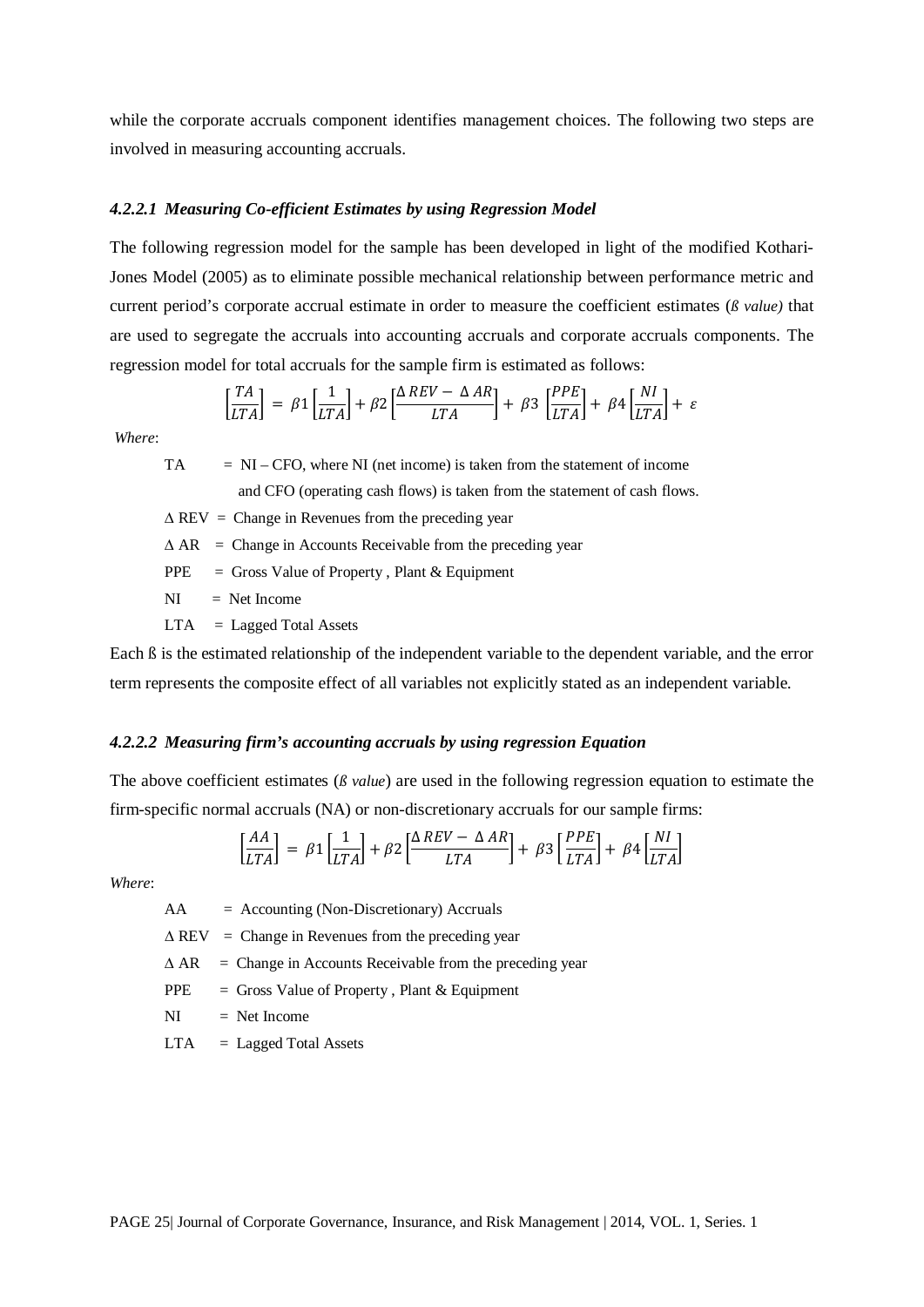while the corporate accruals component identifies management choices. The following two steps are involved in measuring accounting accruals.

#### *4.2.2.1 Measuring Co-efficient Estimates by using Regression Model*

The following regression model for the sample has been developed in light of the modified Kothari-Jones Model (2005) as to eliminate possible mechanical relationship between performance metric and current period's corporate accrual estimate in order to measure the coefficient estimates (*ß value)* that are used to segregate the accruals into accounting accruals and corporate accruals components. The regression model for total accruals for the sample firm is estimated as follows:

$$
\left[\frac{TA}{LTA}\right] = \beta 1 \left[\frac{1}{LTA}\right] + \beta 2 \left[\frac{\Delta REV - \Delta AR}{LTA}\right] + \beta 3 \left[\frac{PPE}{LTA}\right] + \beta 4 \left[\frac{NI}{LTA}\right] + \varepsilon
$$

*Where*:

 $TA = NI - CFO$ , where NI (net income) is taken from the statement of income and CFO (operating cash flows) is taken from the statement of cash flows.

 $\triangle$  REV = Change in Revenues from the preceding year

 $\triangle AR$  = Change in Accounts Receivable from the preceding year

PPE = Gross Value of Property, Plant & Equipment

 $NI = Net Income$ 

 $LTA = Lagged Total Assets$ 

Each ß is the estimated relationship of the independent variable to the dependent variable, and the error term represents the composite effect of all variables not explicitly stated as an independent variable.

#### *4.2.2.2 Measuring firm's accounting accruals by using regression Equation*

The above coefficient estimates (*ß value*) are used in the following regression equation to estimate the firm-specific normal accruals (NA) or non-discretionary accruals for our sample firms:

$$
\left[\frac{AA}{LTA}\right] = \beta 1 \left[\frac{1}{LTA}\right] + \beta 2 \left[\frac{\Delta REV - \Delta AR}{LTA}\right] + \beta 3 \left[\frac{PPE}{LTA}\right] + \beta 4 \left[\frac{NI}{LTA}\right]
$$

*Where*:

 $AA = Accounting (Non-Discretionary) Accruals$  $\triangle$  REV = Change in Revenues from the preceding year  $\triangle AR$  = Change in Accounts Receivable from the preceding year  $PPE =$  Gross Value of Property, Plant & Equipment  $NI = Net Income$ 

 $LTA = Laged Total Assets$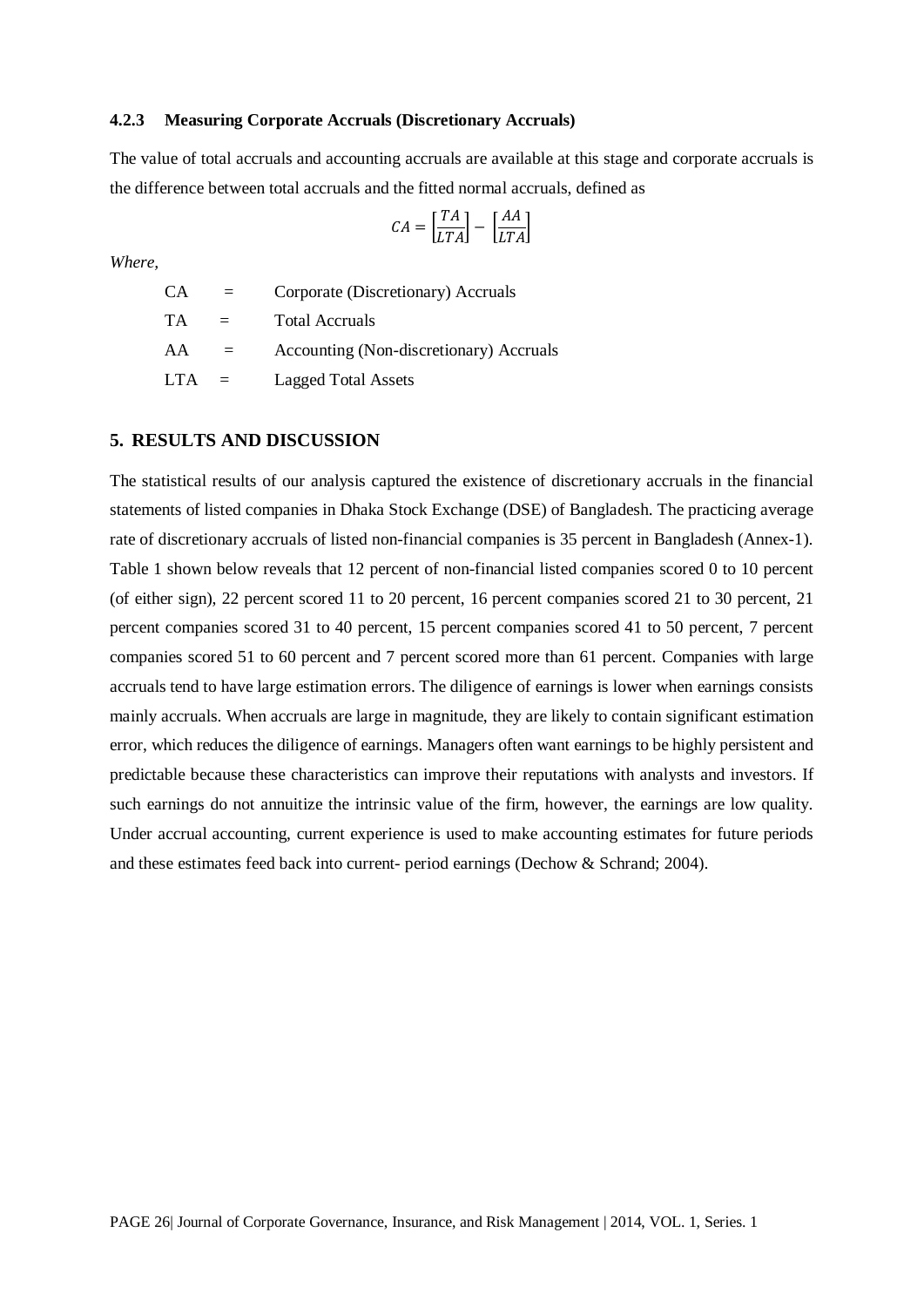### **4.2.3 Measuring Corporate Accruals (Discretionary Accruals)**

The value of total accruals and accounting accruals are available at this stage and corporate accruals is the difference between total accruals and the fitted normal accruals, defined as

$$
CA = \left[\frac{TA}{LTA}\right] - \left[\frac{AA}{LTA}\right]
$$

*Where,*

CA = Corporate (Discretionary) Accruals  $TA = Total Accruals$  $AA =$  Accounting (Non-discretionary) Accruals LTA = Lagged Total Assets

#### **5. RESULTS AND DISCUSSION**

The statistical results of our analysis captured the existence of discretionary accruals in the financial statements of listed companies in Dhaka Stock Exchange (DSE) of Bangladesh. The practicing average rate of discretionary accruals of listed non-financial companies is 35 percent in Bangladesh (Annex-1). Table 1 shown below reveals that 12 percent of non-financial listed companies scored 0 to 10 percent (of either sign), 22 percent scored 11 to 20 percent, 16 percent companies scored 21 to 30 percent, 21 percent companies scored 31 to 40 percent, 15 percent companies scored 41 to 50 percent, 7 percent companies scored 51 to 60 percent and 7 percent scored more than 61 percent. Companies with large accruals tend to have large estimation errors. The diligence of earnings is lower when earnings consists mainly accruals. When accruals are large in magnitude, they are likely to contain significant estimation error, which reduces the diligence of earnings. Managers often want earnings to be highly persistent and predictable because these characteristics can improve their reputations with analysts and investors. If such earnings do not annuitize the intrinsic value of the firm, however, the earnings are low quality. Under accrual accounting, current experience is used to make accounting estimates for future periods and these estimates feed back into current- period earnings (Dechow & Schrand; 2004).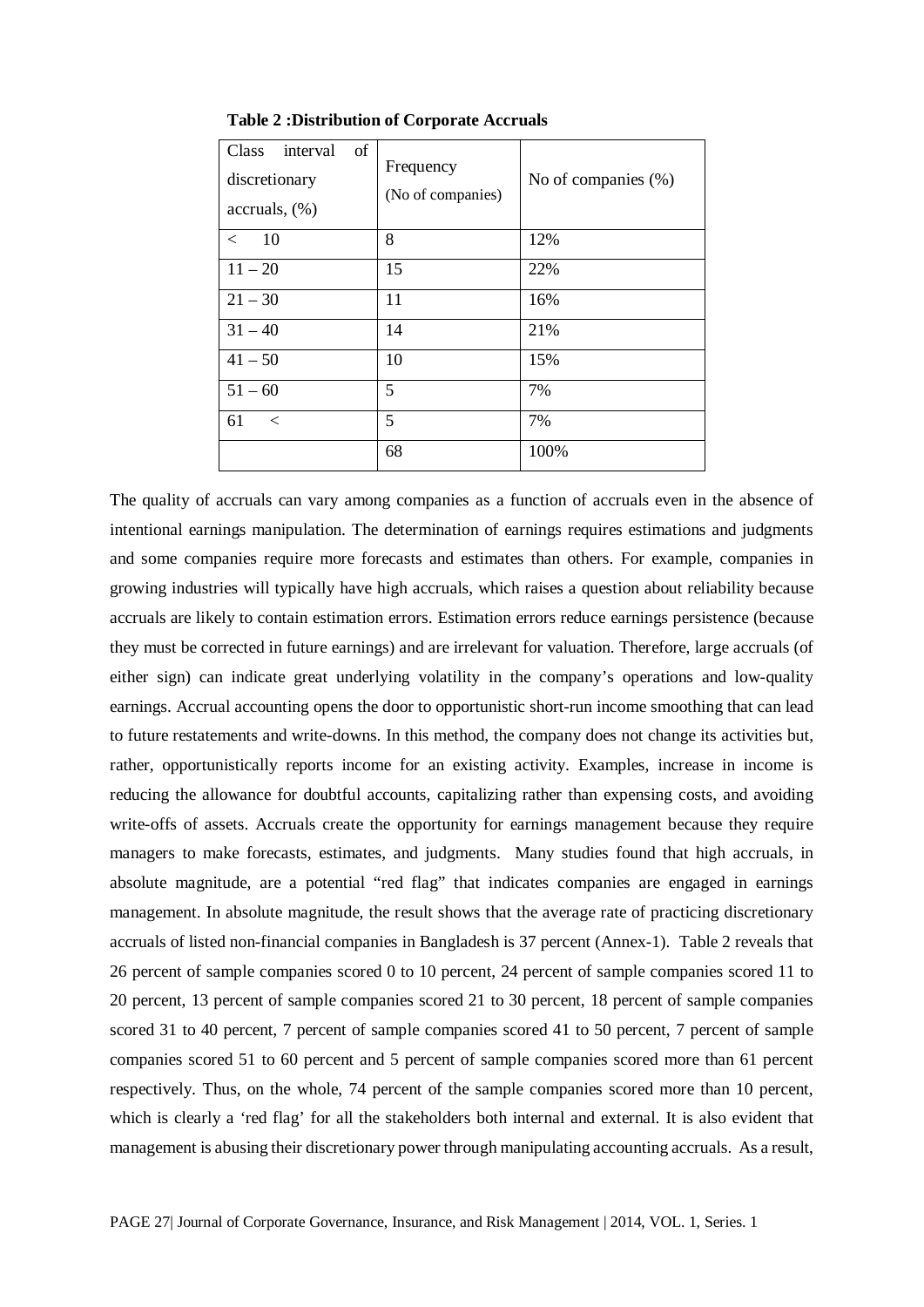| <b>Class</b><br><sub>of</sub><br>interval<br>discretionary<br>$accrules, (\%)$ | Frequency<br>(No of companies) | No of companies $(\%)$ |
|--------------------------------------------------------------------------------|--------------------------------|------------------------|
| 10<br>$\lt$                                                                    | 8                              | 12%                    |
| $11 - 20$                                                                      | 15                             | 22%                    |
| $21 - 30$                                                                      | 11                             | 16%                    |
| $31 - 40$                                                                      | 14                             | 21%                    |
| $41 - 50$                                                                      | 10                             | 15%                    |
| $51 - 60$                                                                      | 5                              | 7%                     |
| 61<br>$\,<\,$                                                                  | 5                              | 7%                     |
|                                                                                | 68                             | 100%                   |

**Table 2 :Distribution of Corporate Accruals**

The quality of accruals can vary among companies as a function of accruals even in the absence of intentional earnings manipulation. The determination of earnings requires estimations and judgments and some companies require more forecasts and estimates than others. For example, companies in growing industries will typically have high accruals, which raises a question about reliability because accruals are likely to contain estimation errors. Estimation errors reduce earnings persistence (because they must be corrected in future earnings) and are irrelevant for valuation. Therefore, large accruals (of either sign) can indicate great underlying volatility in the company's operations and low-quality earnings. Accrual accounting opens the door to opportunistic short-run income smoothing that can lead to future restatements and write-downs. In this method, the company does not change its activities but, rather, opportunistically reports income for an existing activity. Examples, increase in income is reducing the allowance for doubtful accounts, capitalizing rather than expensing costs, and avoiding write-offs of assets. Accruals create the opportunity for earnings management because they require managers to make forecasts, estimates, and judgments. Many studies found that high accruals, in absolute magnitude, are a potential "red flag" that indicates companies are engaged in earnings management. In absolute magnitude, the result shows that the average rate of practicing discretionary accruals of listed non-financial companies in Bangladesh is 37 percent (Annex-1). Table 2 reveals that 26 percent of sample companies scored 0 to 10 percent, 24 percent of sample companies scored 11 to 20 percent, 13 percent of sample companies scored 21 to 30 percent, 18 percent of sample companies scored 31 to 40 percent, 7 percent of sample companies scored 41 to 50 percent, 7 percent of sample companies scored 51 to 60 percent and 5 percent of sample companies scored more than 61 percent respectively. Thus, on the whole, 74 percent of the sample companies scored more than 10 percent, which is clearly a 'red flag' for all the stakeholders both internal and external. It is also evident that management is abusing their discretionary power through manipulating accounting accruals. As a result,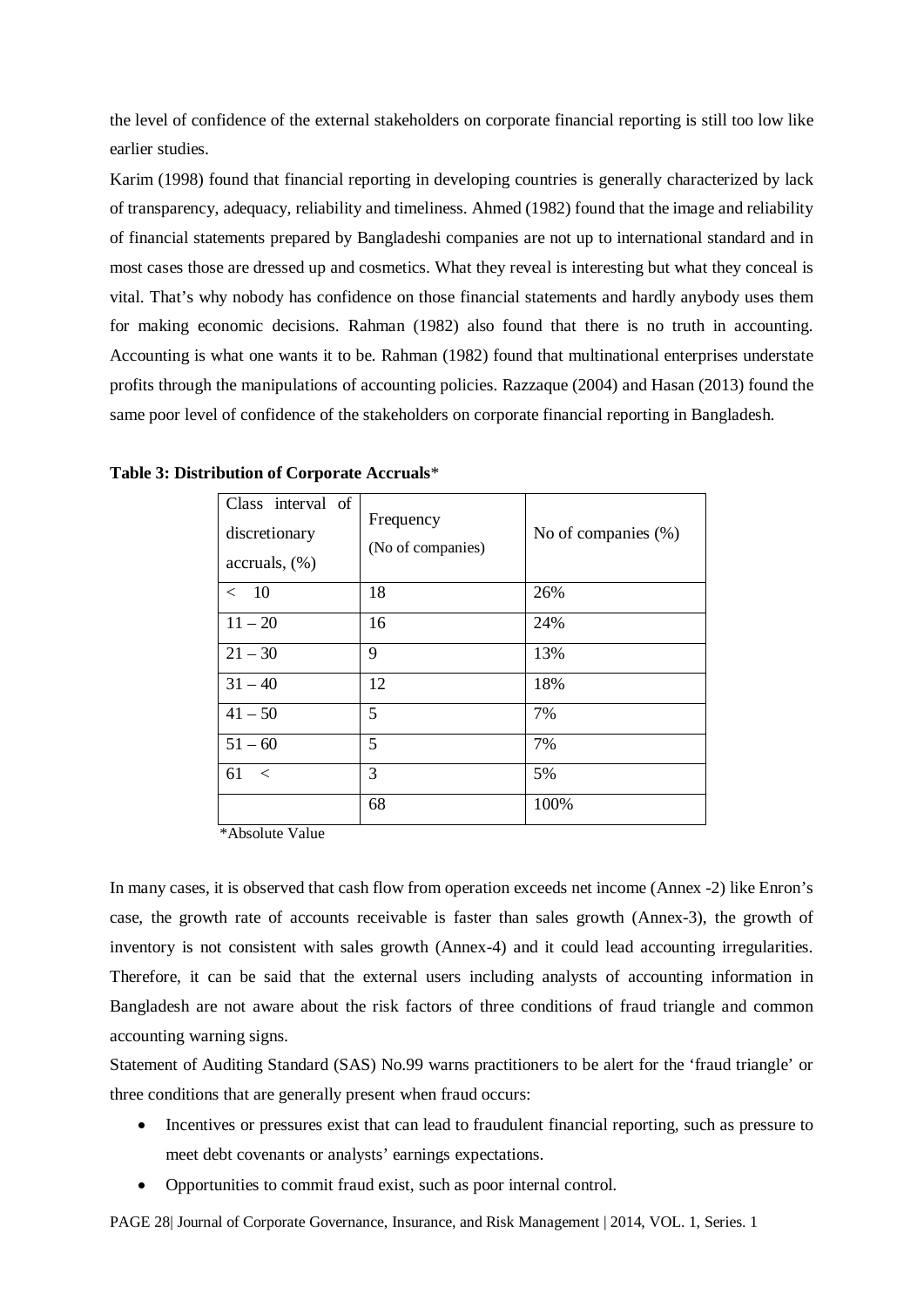the level of confidence of the external stakeholders on corporate financial reporting is still too low like earlier studies.

Karim (1998) found that financial reporting in developing countries is generally characterized by lack of transparency, adequacy, reliability and timeliness. Ahmed (1982) found that the image and reliability of financial statements prepared by Bangladeshi companies are not up to international standard and in most cases those are dressed up and cosmetics. What they reveal is interesting but what they conceal is vital. That's why nobody has confidence on those financial statements and hardly anybody uses them for making economic decisions. Rahman (1982) also found that there is no truth in accounting. Accounting is what one wants it to be. Rahman (1982) found that multinational enterprises understate profits through the manipulations of accounting policies. Razzaque (2004) and Hasan (2013) found the same poor level of confidence of the stakeholders on corporate financial reporting in Bangladesh.

| Class interval of<br>discretionary<br>$accrules, (\%)$ | Frequency<br>(No of companies) | No of companies (%) |
|--------------------------------------------------------|--------------------------------|---------------------|
| < 10                                                   | 18                             | 26%                 |
| $11 - 20$                                              | 16                             | 24%                 |
| $21 - 30$                                              | 9                              | 13%                 |
| $31 - 40$                                              | 12                             | 18%                 |
| $41 - 50$                                              | 5                              | 7%                  |
| $51 - 60$                                              | 5                              | 7%                  |
| 61<br>$\,<$                                            | 3                              | 5%                  |
|                                                        | 68                             | 100%                |

**Table 3: Distribution of Corporate Accruals**\*

\*Absolute Value

In many cases, it is observed that cash flow from operation exceeds net income (Annex -2) like Enron's case, the growth rate of accounts receivable is faster than sales growth (Annex-3), the growth of inventory is not consistent with sales growth (Annex-4) and it could lead accounting irregularities. Therefore, it can be said that the external users including analysts of accounting information in Bangladesh are not aware about the risk factors of three conditions of fraud triangle and common accounting warning signs.

Statement of Auditing Standard (SAS) No.99 warns practitioners to be alert for the 'fraud triangle' or three conditions that are generally present when fraud occurs:

- Incentives or pressures exist that can lead to fraudulent financial reporting, such as pressure to meet debt covenants or analysts' earnings expectations.
- Opportunities to commit fraud exist, such as poor internal control.

PAGE 28| Journal of Corporate Governance, Insurance, and Risk Management | 2014, VOL. 1, Series. 1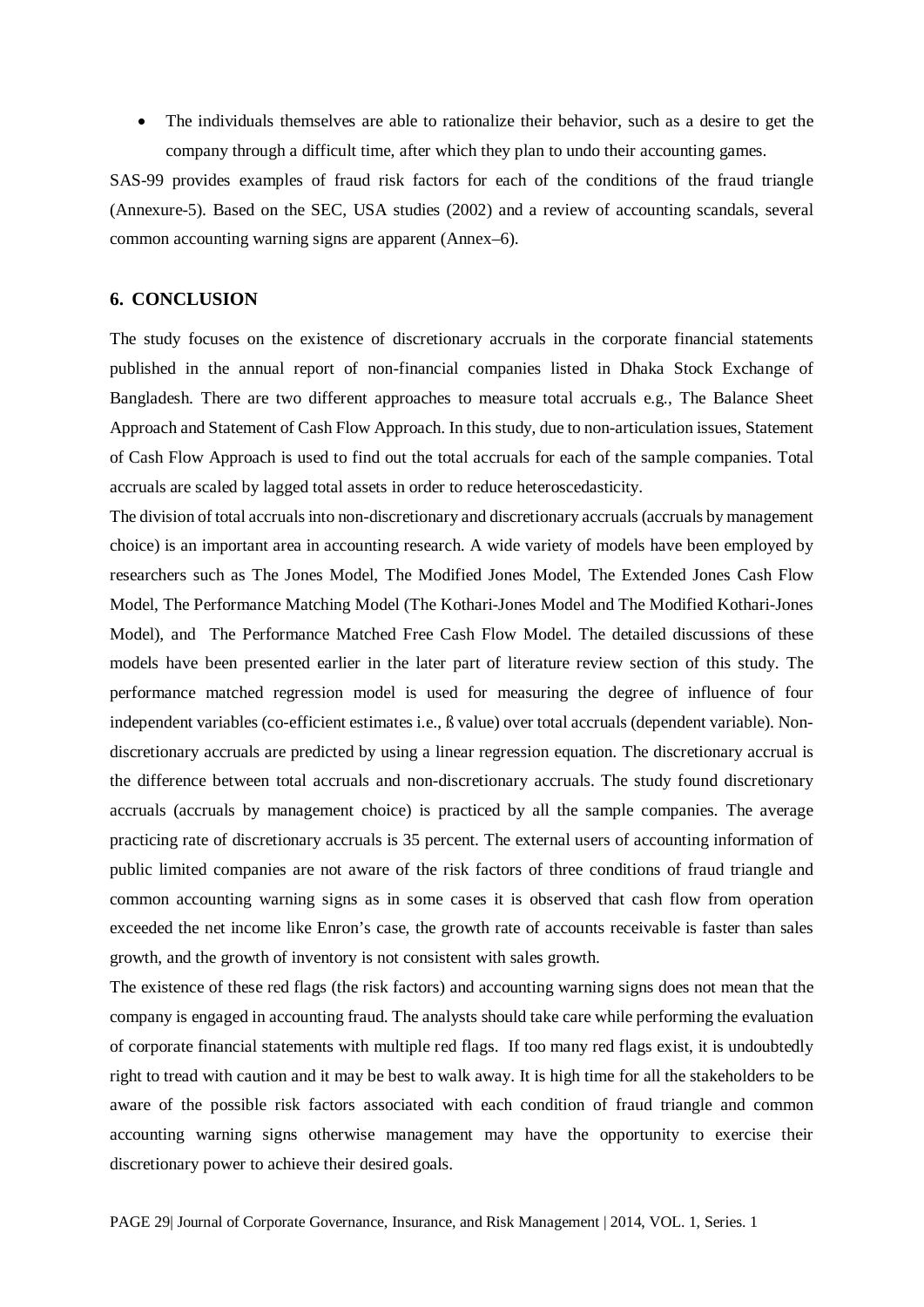• The individuals themselves are able to rationalize their behavior, such as a desire to get the company through a difficult time, after which they plan to undo their accounting games.

SAS-99 provides examples of fraud risk factors for each of the conditions of the fraud triangle (Annexure-5). Based on the SEC, USA studies (2002) and a review of accounting scandals, several common accounting warning signs are apparent (Annex–6).

### **6. CONCLUSION**

The study focuses on the existence of discretionary accruals in the corporate financial statements published in the annual report of non-financial companies listed in Dhaka Stock Exchange of Bangladesh. There are two different approaches to measure total accruals e.g., The Balance Sheet Approach and Statement of Cash Flow Approach. In this study, due to non-articulation issues, Statement of Cash Flow Approach is used to find out the total accruals for each of the sample companies. Total accruals are scaled by lagged total assets in order to reduce heteroscedasticity.

The division of total accruals into non-discretionary and discretionary accruals (accruals by management choice) is an important area in accounting research. A wide variety of models have been employed by researchers such as The Jones Model, The Modified Jones Model, The Extended Jones Cash Flow Model, The Performance Matching Model (The Kothari-Jones Model and The Modified Kothari-Jones Model), and The Performance Matched Free Cash Flow Model. The detailed discussions of these models have been presented earlier in the later part of literature review section of this study. The performance matched regression model is used for measuring the degree of influence of four independent variables (co-efficient estimates i.e., ß value) over total accruals (dependent variable). Nondiscretionary accruals are predicted by using a linear regression equation. The discretionary accrual is the difference between total accruals and non-discretionary accruals. The study found discretionary accruals (accruals by management choice) is practiced by all the sample companies. The average practicing rate of discretionary accruals is 35 percent. The external users of accounting information of public limited companies are not aware of the risk factors of three conditions of fraud triangle and common accounting warning signs as in some cases it is observed that cash flow from operation exceeded the net income like Enron's case, the growth rate of accounts receivable is faster than sales growth, and the growth of inventory is not consistent with sales growth.

The existence of these red flags (the risk factors) and accounting warning signs does not mean that the company is engaged in accounting fraud. The analysts should take care while performing the evaluation of corporate financial statements with multiple red flags. If too many red flags exist, it is undoubtedly right to tread with caution and it may be best to walk away. It is high time for all the stakeholders to be aware of the possible risk factors associated with each condition of fraud triangle and common accounting warning signs otherwise management may have the opportunity to exercise their discretionary power to achieve their desired goals.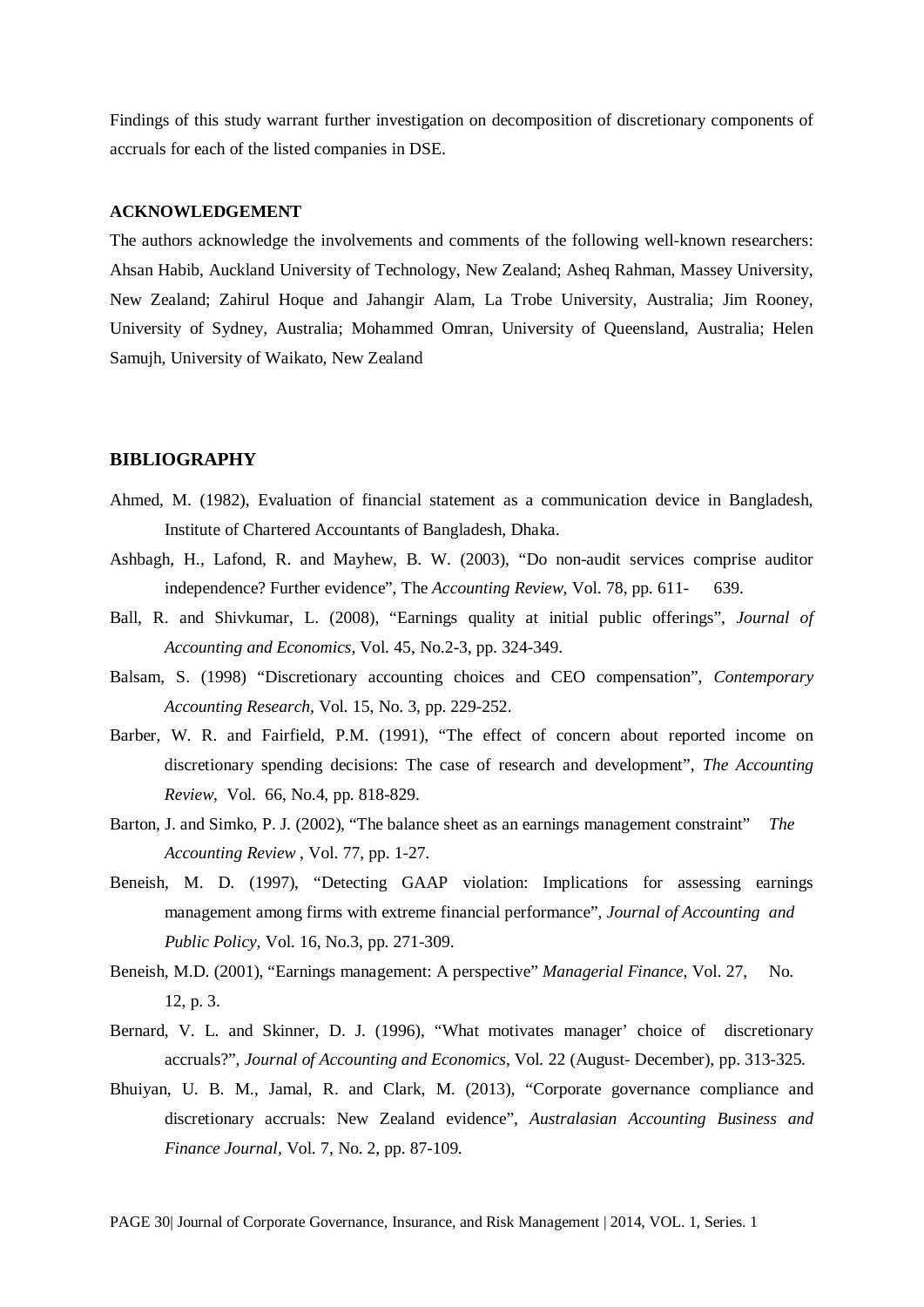Findings of this study warrant further investigation on decomposition of discretionary components of accruals for each of the listed companies in DSE.

### **ACKNOWLEDGEMENT**

The authors acknowledge the involvements and comments of the following well-known researchers: Ahsan Habib, Auckland University of Technology, New Zealand; Asheq Rahman, Massey University, New Zealand; Zahirul Hoque and Jahangir Alam, La Trobe University, Australia; Jim Rooney, University of Sydney, Australia; Mohammed Omran, University of Queensland, Australia; Helen Samujh, University of Waikato, New Zealand

### **BIBLIOGRAPHY**

- Ahmed, M. (1982), Evaluation of financial statement as a communication device in Bangladesh, Institute of Chartered Accountants of Bangladesh, Dhaka.
- Ashbagh, H., Lafond, R. and Mayhew, B. W. (2003), "Do non-audit services comprise auditor independence? Further evidence", The *Accounting Review,* Vol. 78, pp. 611- 639.
- Ball, R. and Shivkumar, L. (2008), "Earnings quality at initial public offerings", *Journal of Accounting and Economics,* Vol. 45, No.2-3, pp. 324-349.
- Balsam, S. (1998) "Discretionary accounting choices and CEO compensation", *Contemporary Accounting Research,* Vol. 15, No. 3, pp. 229-252.
- Barber, W. R. and Fairfield, P.M. (1991), "The effect of concern about reported income on discretionary spending decisions: The case of research and development", *The Accounting Review,* Vol. 66, No.4, pp. 818-829.
- Barton, J. and Simko, P. J. (2002), "The balance sheet as an earnings management constraint" *The Accounting Review* , Vol. 77, pp. 1-27.
- Beneish, M. D. (1997), "Detecting GAAP violation: Implications for assessing earnings management among firms with extreme financial performance", *Journal of Accounting and Public Policy*, Vol. 16, No.3, pp. 271-309.
- Beneish, M.D. (2001), "Earnings management: A perspective" *Managerial Finance*, Vol. 27, No. 12, p. 3.
- Bernard, V. L. and Skinner, D. J. (1996), "What motivates manager' choice of discretionary accruals?", *Journal of Accounting and Economics,* Vol*.* 22 (August- December), pp. 313-325.
- Bhuiyan, U. B. M., Jamal, R. and Clark, M. (2013), "Corporate governance compliance and discretionary accruals: New Zealand evidence", *Australasian Accounting Business and Finance Journal,* Vol. 7, No. 2, pp. 87-109.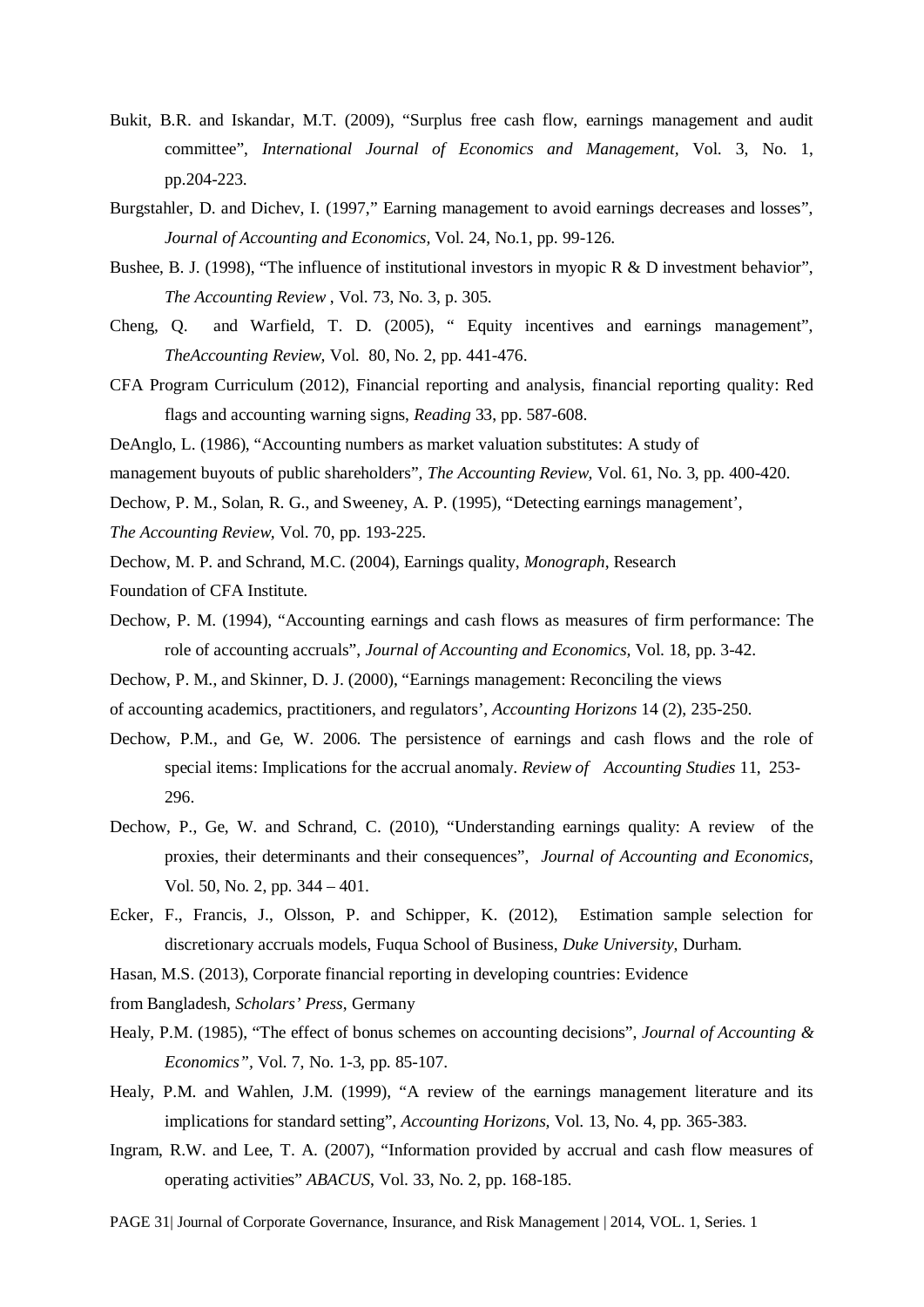- Bukit, B.R. and Iskandar, M.T. (2009), "Surplus free cash flow, earnings management and audit committee", *International Journal of Economics and Management,* Vol. 3, No. 1, pp.204-223.
- Burgstahler, D. and Dichev, I. (1997," Earning management to avoid earnings decreases and losses", *Journal of Accounting and Economics,* Vol. 24, No.1, pp. 99-126.
- Bushee, B. J. (1998), "The influence of institutional investors in myopic R & D investment behavior", *The Accounting Review* , Vol. 73, No. 3, p. 305.
- Cheng, Q. and Warfield, T. D. (2005), " Equity incentives and earnings management", *TheAccounting Review,* Vol. 80, No. 2, pp. 441-476.
- CFA Program Curriculum (2012), Financial reporting and analysis, financial reporting quality: Red flags and accounting warning signs, *Reading* 33, pp. 587-608.
- DeAnglo, L. (1986), "Accounting numbers as market valuation substitutes: A study of
- management buyouts of public shareholders", *The Accounting Review,* Vol. 61, No. 3, pp. 400-420.
- Dechow, P. M., Solan, R. G., and Sweeney, A. P. (1995), "Detecting earnings management',
- *The Accounting Review,* Vol. 70, pp. 193-225.
- Dechow, M. P. and Schrand, M.C. (2004), Earnings quality, *Monograph*, Research
- Foundation of CFA Institute.
- Dechow, P. M. (1994), "Accounting earnings and cash flows as measures of firm performance: The role of accounting accruals", *Journal of Accounting and Economics,* Vol. 18, pp. 3-42.
- Dechow, P. M., and Skinner, D. J. (2000), "Earnings management: Reconciling the views
- of accounting academics, practitioners, and regulators', *Accounting Horizons* 14 (2), 235-250.
- Dechow, P.M., and Ge, W. 2006. The persistence of earnings and cash flows and the role of special items: Implications for the accrual anomaly. *Review of Accounting Studies* 11, 253- 296.
- Dechow, P., Ge, W. and Schrand, C. (2010), "Understanding earnings quality: A review of the proxies, their determinants and their consequences", *Journal of Accounting and Economics,*  Vol. 50, No. 2, pp. 344 – 401.
- Ecker, F., Francis, J., Olsson, P. and Schipper, K. (2012), Estimation sample selection for discretionary accruals models, Fuqua School of Business, *Duke University*, Durham.
- Hasan, M.S. (2013), Corporate financial reporting in developing countries: Evidence
- from Bangladesh, *Scholars' Press*, Germany
- Healy, P.M. (1985), "The effect of bonus schemes on accounting decisions", *Journal of Accounting & Economics",* Vol. 7, No. 1-3, pp. 85-107.
- Healy, P.M. and Wahlen, J.M. (1999), "A review of the earnings management literature and its implications for standard setting", *Accounting Horizons,* Vol. 13, No. 4, pp. 365-383.
- Ingram, R.W. and Lee, T. A. (2007), "Information provided by accrual and cash flow measures of operating activities" *ABACUS*, Vol. 33, No. 2, pp. 168-185.

PAGE 31| Journal of Corporate Governance, Insurance, and Risk Management | 2014, VOL. 1, Series. 1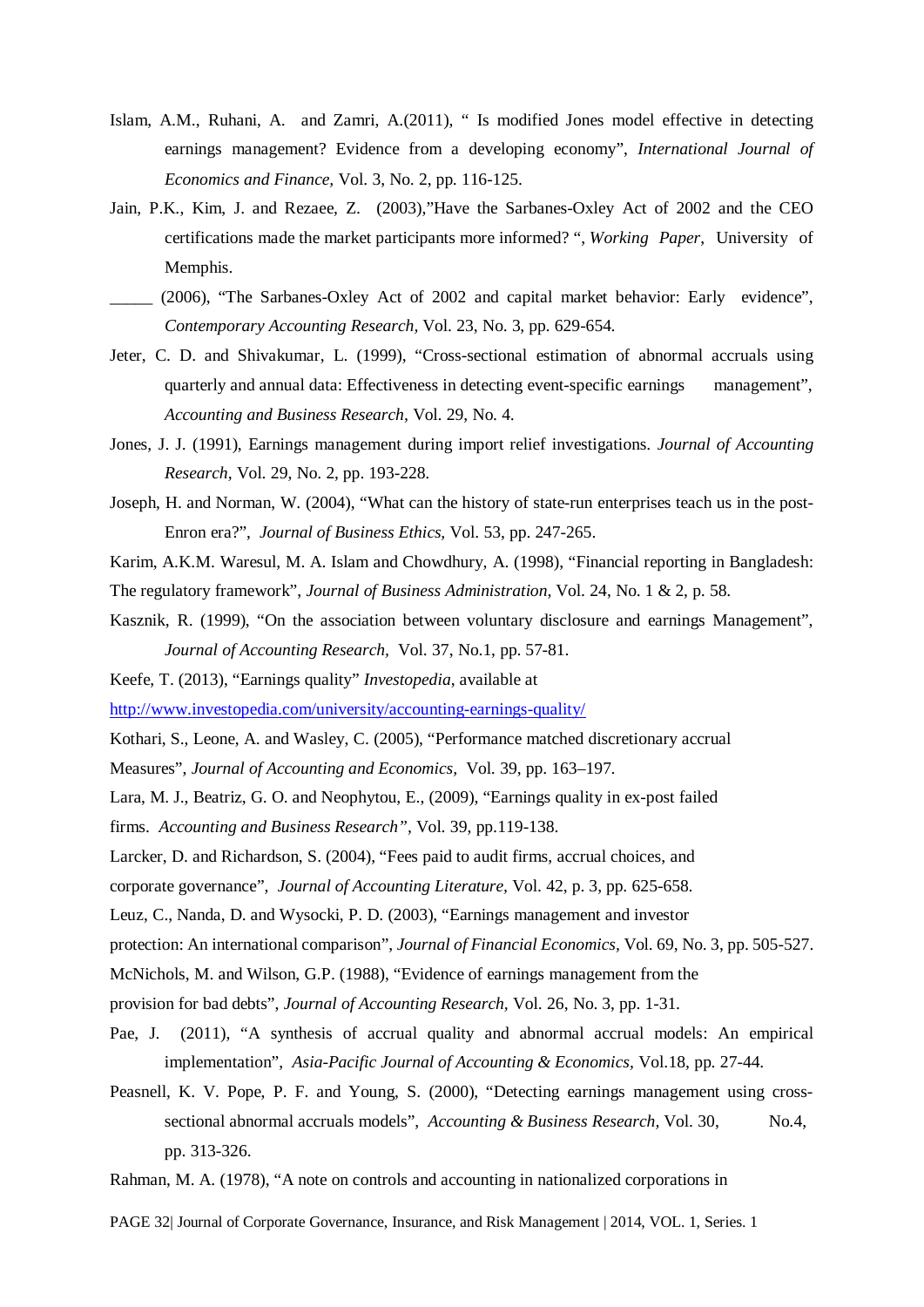- Islam, A.M., Ruhani, A. and Zamri, A.(2011), " Is modified Jones model effective in detecting earnings management? Evidence from a developing economy", *International Journal of Economics and Finance,* Vol. 3, No. 2, pp. 116-125.
- Jain, P.K., Kim, J. and Rezaee, Z. (2003),"Have the Sarbanes-Oxley Act of 2002 and the CEO certifications made the market participants more informed? ", *Working Paper*, University of Memphis.
- \_\_\_\_\_ (2006), "The Sarbanes-Oxley Act of 2002 and capital market behavior: Early evidence", *Contemporary Accounting Research,* Vol. 23, No. 3, pp. 629-654.
- Jeter, C. D. and Shivakumar, L. (1999), "Cross-sectional estimation of abnormal accruals using quarterly and annual data: Effectiveness in detecting event-specific earnings management", *Accounting and Business Research,* Vol. 29, No. 4.
- Jones, J. J. (1991), Earnings management during import relief investigations. *Journal of Accounting Research,* Vol. 29, No. 2, pp. 193-228.
- Joseph, H. and Norman, W. (2004), "What can the history of state-run enterprises teach us in the post-Enron era?", *Journal of Business Ethics,* Vol. 53, pp. 247-265.
- Karim, A.K.M. Waresul, M. A. Islam and Chowdhury, A. (1998), "Financial reporting in Bangladesh:
- The regulatory framework", *Journal of Business Administration,* Vol. 24, No. 1 & 2, p. 58.
- Kasznik, R. (1999), "On the association between voluntary disclosure and earnings Management", *Journal of Accounting Research,* Vol. 37, No.1, pp. 57-81.
- Keefe, T. (2013), "Earnings quality" *Investopedia*, available at

<http://www.investopedia.com/university/accounting-earnings-quality/>

- Kothari, S., Leone, A. and Wasley, C. (2005), "Performance matched discretionary accrual
- Measures", *Journal of Accounting and Economics,* Vol. 39, pp. 163–197.
- Lara, M. J., Beatriz, G. O. and Neophytou, E., (2009), "Earnings quality in ex-post failed
- firms. *Accounting and Business Research",* Vol. 39, pp.119-138.
- Larcker, D. and Richardson, S. (2004), "Fees paid to audit firms, accrual choices, and
- corporate governance", *Journal of Accounting Literature,* Vol. 42, p. 3, pp. 625-658.

Leuz, C., Nanda, D. and Wysocki, P. D. (2003), "Earnings management and investor

protection: An international comparison", *Journal of Financial Economics,* Vol. 69, No. 3, pp. 505-527.

- McNichols, M. and Wilson, G.P. (1988), "Evidence of earnings management from the
- provision for bad debts", *Journal of Accounting Research,* Vol. 26, No. 3, pp. 1-31.
- Pae, J. (2011), "A synthesis of accrual quality and abnormal accrual models: An empirical implementation", *Asia-Pacific Journal of Accounting & Economics,* Vol.18, pp. 27-44.
- Peasnell, K. V. Pope, P. F. and Young, S. (2000), "Detecting earnings management using crosssectional abnormal accruals models", *Accounting & Business Research*, Vol. 30, No.4, pp. 313-326.
- Rahman, M. A. (1978), "A note on controls and accounting in nationalized corporations in

PAGE 32| Journal of Corporate Governance, Insurance, and Risk Management | 2014, VOL. 1, Series. 1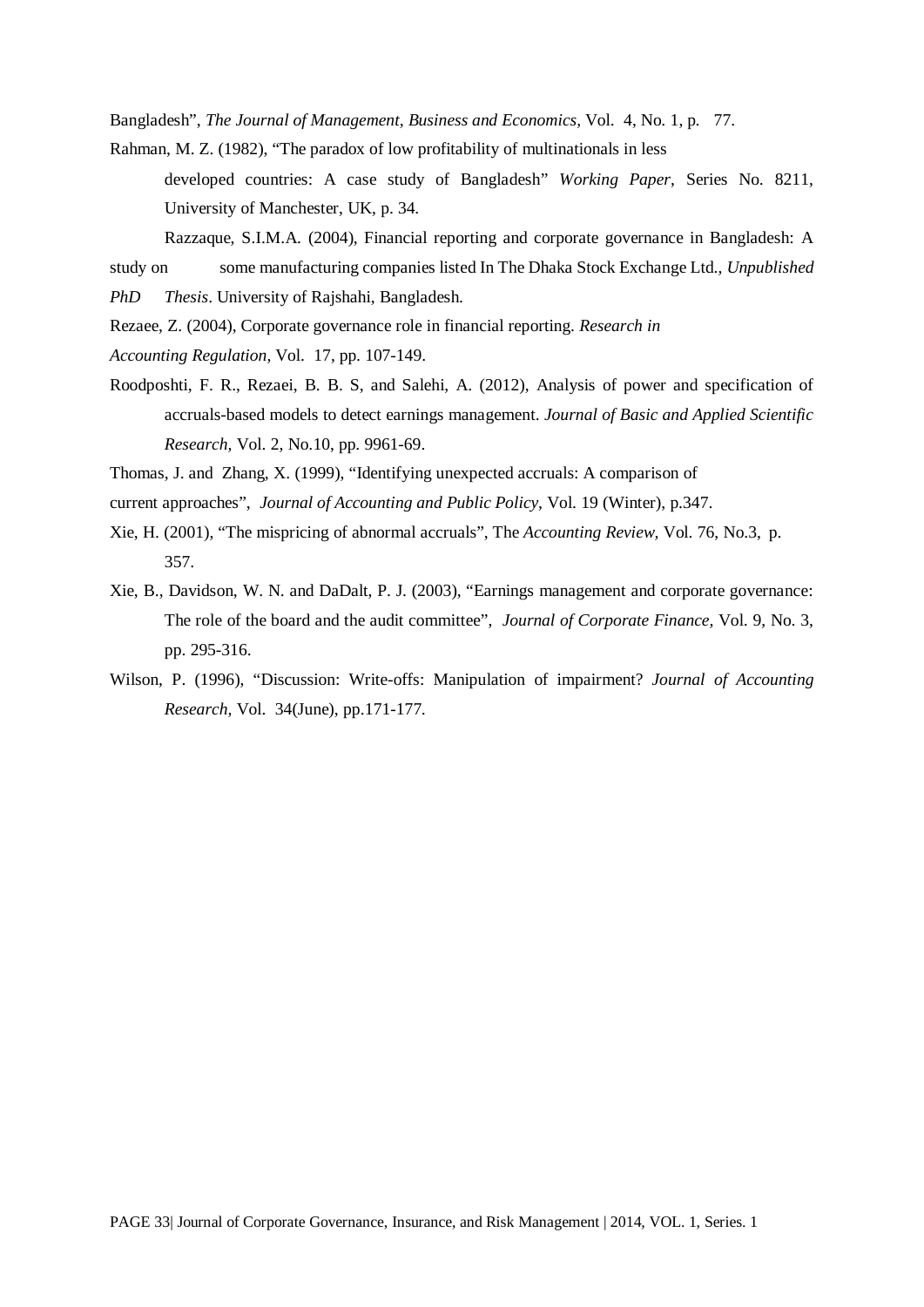Bangladesh", *The Journal of Management, Business and Economics,* Vol. 4, No. 1, p. 77.

- Rahman, M. Z. (1982), "The paradox of low profitability of multinationals in less
	- developed countries: A case study of Bangladesh" *Working Paper*, Series No. 8211, University of Manchester, UK, p. 34.
	- Razzaque, S.I.M.A. (2004), Financial reporting and corporate governance in Bangladesh: A
- study on some manufacturing companies listed In The Dhaka Stock Exchange Ltd., *Unpublished*
- *PhD Thesis*. University of Rajshahi, Bangladesh.
- Rezaee, Z. (2004), Corporate governance role in financial reporting. *Research in*
- *Accounting Regulation,* Vol. 17, pp. 107-149.
- Roodposhti, F. R., Rezaei, B. B. S, and Salehi, A. (2012), Analysis of power and specification of accruals-based models to detect earnings management. *Journal of Basic and Applied Scientific Research,* Vol. 2, No.10, pp. 9961-69.

Thomas, J. and Zhang, X. (1999), "Identifying unexpected accruals: A comparison of

- current approaches", *Journal of Accounting and Public Policy,* Vol. 19 (Winter), p.347.
- Xie, H. (2001), "The mispricing of abnormal accruals", The *Accounting Review,* Vol. 76, No.3, p. 357.
- Xie, B., Davidson, W. N. and DaDalt, P. J. (2003), "Earnings management and corporate governance: The role of the board and the audit committee", *Journal of Corporate Finance,* Vol. 9, No. 3, pp. 295-316.
- Wilson, P. (1996), "Discussion: Write-offs: Manipulation of impairment? *Journal of Accounting Research,* Vol. 34(June), pp.171-177.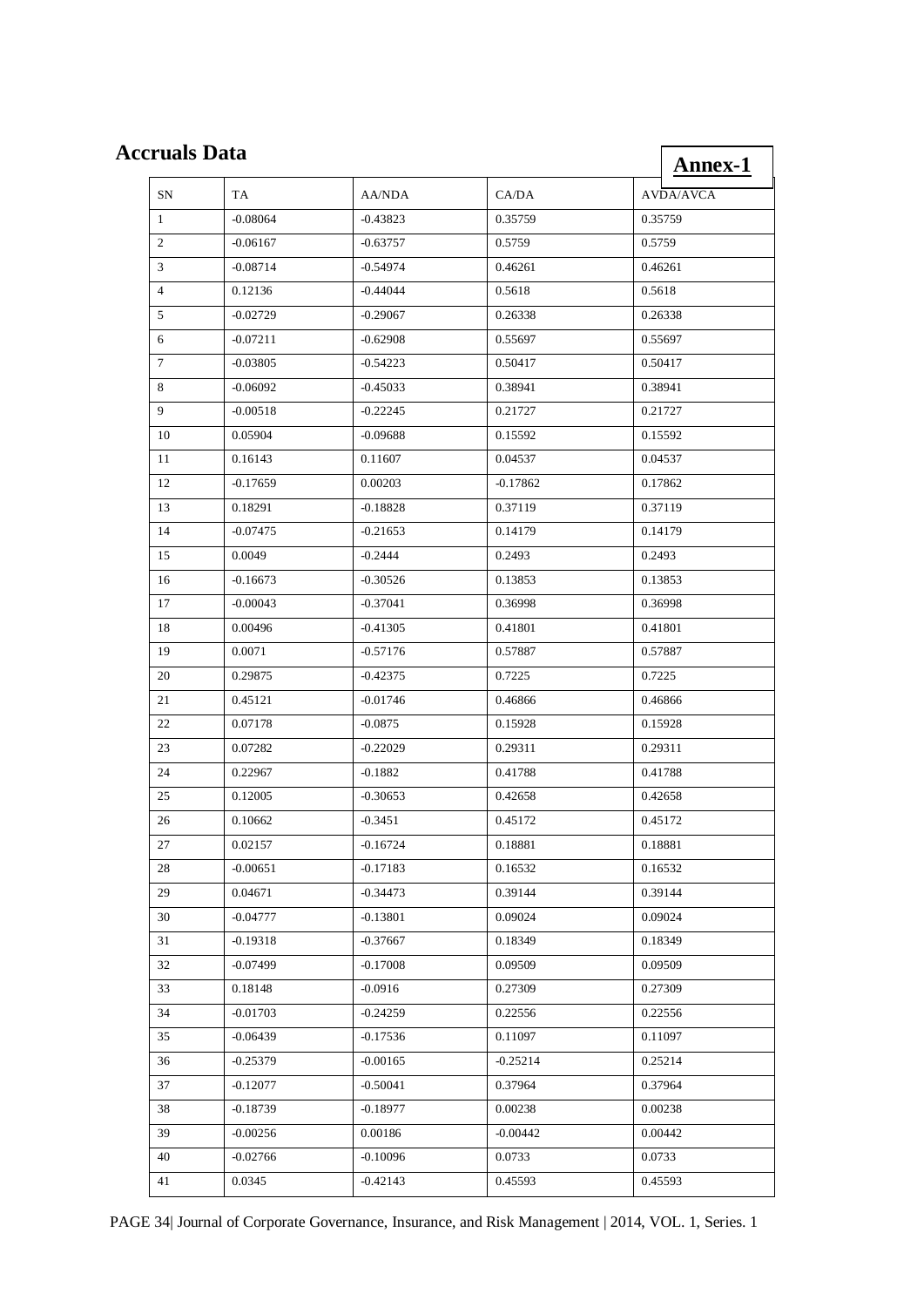# **Accruals Data**

| e <b>ruals Data</b> |            |            |            | <b>Annex-1</b>   |
|---------------------|------------|------------|------------|------------------|
| SN                  | TA         | AA/NDA     | CA/DA      | <b>AVDA/AVCA</b> |
| 1                   | $-0.08064$ | $-0.43823$ | 0.35759    | 0.35759          |
| 2                   | $-0.06167$ | $-0.63757$ | 0.5759     | 0.5759           |
| 3                   | $-0.08714$ | $-0.54974$ | 0.46261    | 0.46261          |
| 4                   | 0.12136    | -0.44044   | 0.5618     | 0.5618           |
| 5                   | $-0.02729$ | $-0.29067$ | 0.26338    | 0.26338          |
| 6                   | $-0.07211$ | $-0.62908$ | 0.55697    | 0.55697          |
| 7                   | $-0.03805$ | $-0.54223$ | 0.50417    | 0.50417          |
| 8                   | $-0.06092$ | $-0.45033$ | 0.38941    | 0.38941          |
| 9                   | $-0.00518$ | $-0.22245$ | 0.21727    | 0.21727          |
| 10                  | 0.05904    | $-0.09688$ | 0.15592    | 0.15592          |
| 11                  | 0.16143    | 0.11607    | 0.04537    | 0.04537          |
| 12                  | $-0.17659$ | 0.00203    | $-0.17862$ | 0.17862          |
| 13                  | 0.18291    | $-0.18828$ | 0.37119    | 0.37119          |
| 14                  | $-0.07475$ | $-0.21653$ | 0.14179    | 0.14179          |
| 15                  | 0.0049     | $-0.2444$  | 0.2493     | 0.2493           |
| 16                  | $-0.16673$ | $-0.30526$ | 0.13853    | 0.13853          |
| 17                  | $-0.00043$ | $-0.37041$ | 0.36998    | 0.36998          |
| 18                  | 0.00496    | $-0.41305$ | 0.41801    | 0.41801          |
| 19                  | 0.0071     | $-0.57176$ | 0.57887    | 0.57887          |
| 20                  | 0.29875    | $-0.42375$ | 0.7225     | 0.7225           |
| 21                  | 0.45121    | $-0.01746$ | 0.46866    | 0.46866          |
| 22                  | 0.07178    | $-0.0875$  | 0.15928    | 0.15928          |
| 23                  | 0.07282    | $-0.22029$ | 0.29311    | 0.29311          |
| 24                  | 0.22967    | $-0.1882$  | 0.41788    | 0.41788          |
| 25                  | 0.12005    | $-0.30653$ | 0.42658    | 0.42658          |
| 26                  | 0.10662    | $-0.3451$  | 0.45172    | 0.45172          |
| 27                  | 0.02157    | $-0.16724$ | 0.18881    | 0.18881          |
| 28                  | $-0.00651$ | $-0.17183$ | 0.16532    | 0.16532          |
| 29                  | 0.04671    | $-0.34473$ | 0.39144    | 0.39144          |
| 30                  | $-0.04777$ | $-0.13801$ | 0.09024    | 0.09024          |
| 31                  | $-0.19318$ | $-0.37667$ | 0.18349    | 0.18349          |
| 32                  | $-0.07499$ | $-0.17008$ | 0.09509    | 0.09509          |
| 33                  | 0.18148    | $-0.0916$  | 0.27309    | 0.27309          |
| 34                  | $-0.01703$ | $-0.24259$ | 0.22556    | 0.22556          |
| 35                  | $-0.06439$ | $-0.17536$ | 0.11097    | 0.11097          |
| 36                  | $-0.25379$ | $-0.00165$ | $-0.25214$ | 0.25214          |
| 37                  | $-0.12077$ | $-0.50041$ | 0.37964    | 0.37964          |
| 38                  | $-0.18739$ | $-0.18977$ | 0.00238    | 0.00238          |
| 39                  | $-0.00256$ | 0.00186    | $-0.00442$ | 0.00442          |
| 40                  | $-0.02766$ | $-0.10096$ | 0.0733     | 0.0733           |
| 41                  | 0.0345     | $-0.42143$ | 0.45593    | 0.45593          |
|                     |            |            |            |                  |

PAGE 34| Journal of Corporate Governance, Insurance, and Risk Management | 2014, VOL. 1, Series. 1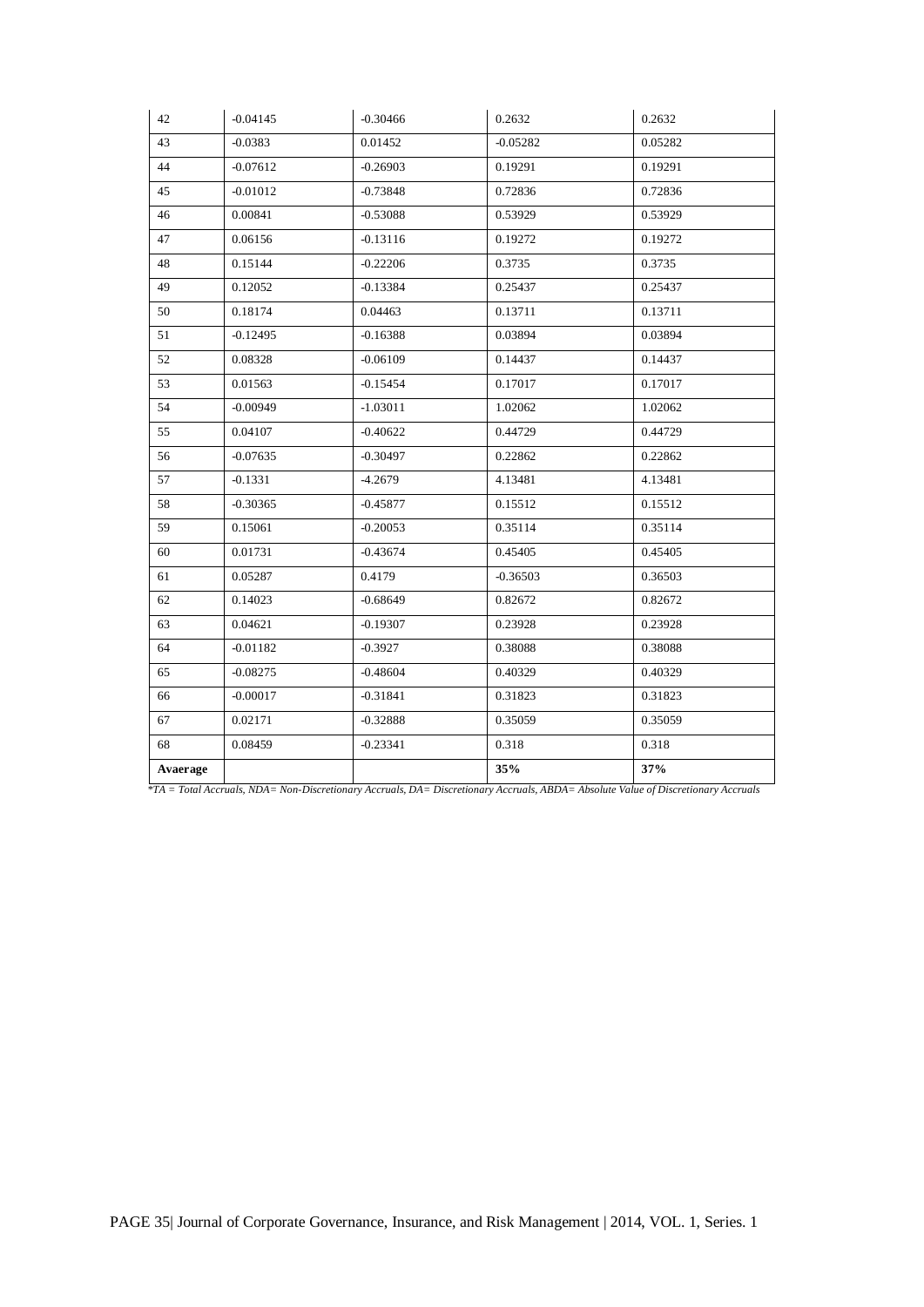|          |            | $-0.30466$ | 0.2632     | 0.2632  |
|----------|------------|------------|------------|---------|
| 43       | $-0.0383$  | 0.01452    | $-0.05282$ | 0.05282 |
| 44       | $-0.07612$ | $-0.26903$ | 0.19291    | 0.19291 |
| 45       | $-0.01012$ | $-0.73848$ | 0.72836    | 0.72836 |
| 46       | 0.00841    | $-0.53088$ | 0.53929    | 0.53929 |
| 47       | 0.06156    | $-0.13116$ | 0.19272    | 0.19272 |
| 48       | 0.15144    | $-0.22206$ | 0.3735     | 0.3735  |
| 49       | 0.12052    | $-0.13384$ | 0.25437    | 0.25437 |
| 50       | 0.18174    | 0.04463    | 0.13711    | 0.13711 |
| 51       | $-0.12495$ | $-0.16388$ | 0.03894    | 0.03894 |
| 52       | 0.08328    | $-0.06109$ | 0.14437    | 0.14437 |
| 53       | 0.01563    | $-0.15454$ | 0.17017    | 0.17017 |
| 54       | $-0.00949$ | $-1.03011$ | 1.02062    | 1.02062 |
| 55       | 0.04107    | $-0.40622$ | 0.44729    | 0.44729 |
| 56       | $-0.07635$ | $-0.30497$ | 0.22862    | 0.22862 |
| 57       | $-0.1331$  | $-4.2679$  | 4.13481    | 4.13481 |
| 58       | $-0.30365$ | $-0.45877$ | 0.15512    | 0.15512 |
| 59       | 0.15061    | $-0.20053$ | 0.35114    | 0.35114 |
| 60       | 0.01731    | $-0.43674$ | 0.45405    | 0.45405 |
| 61       | 0.05287    | 0.4179     | $-0.36503$ | 0.36503 |
| 62       | 0.14023    | $-0.68649$ | 0.82672    | 0.82672 |
| 63       | 0.04621    | $-0.19307$ | 0.23928    | 0.23928 |
| 64       | $-0.01182$ | $-0.3927$  | 0.38088    | 0.38088 |
| 65       | $-0.08275$ | $-0.48604$ | 0.40329    | 0.40329 |
| 66       | $-0.00017$ | $-0.31841$ | 0.31823    | 0.31823 |
| 67       | 0.02171    | $-0.32888$ | 0.35059    | 0.35059 |
| 68       | 0.08459    | $-0.23341$ | 0.318      | 0.318   |
| Avaerage |            |            | 35%        | 37%     |

 *\*TA = Total Accruals, NDA= Non-Discretionary Accruals, DA= Discretionary Accruals, ABDA= Absolute Value of Discretionary Accruals*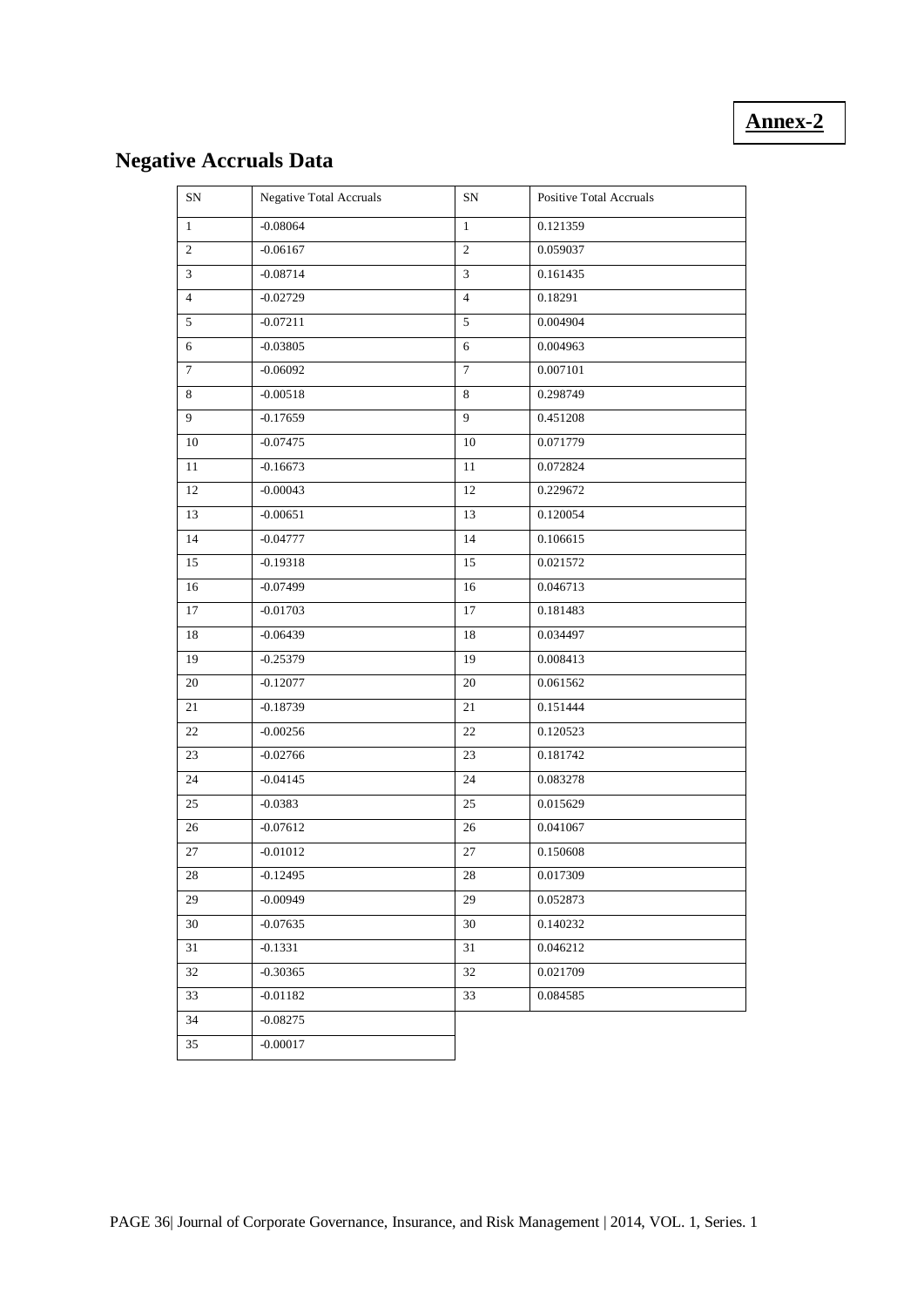# **Annex-2**

# **Negative Accruals Data**

| SN             | Negative Total Accruals | SN             | Positive Total Accruals |
|----------------|-------------------------|----------------|-------------------------|
| $\mathbf{1}$   | $-0.08064$              | $\mathbf{1}$   | 0.121359                |
| $\overline{c}$ | $-0.06167$              | $\sqrt{2}$     | 0.059037                |
| $\overline{3}$ | $-0.08714$              | 3              | 0.161435                |
| $\overline{4}$ | $-0.02729$              | $\overline{4}$ | 0.18291                 |
| 5              | $-0.07211$              | 5              | 0.004904                |
| 6              | $-0.03805$              | 6              | 0.004963                |
| $\tau$         | $-0.06092$              | $\overline{7}$ | 0.007101                |
| 8              | $-0.00518$              | $\,8\,$        | 0.298749                |
| 9              | $-0.17659$              | 9              | 0.451208                |
| 10             | $-0.07475$              | 10             | 0.071779                |
| 11             | $-0.16673$              | 11             | 0.072824                |
| 12             | $-0.00043$              | 12             | 0.229672                |
| 13             | $-0.00651$              | 13             | 0.120054                |
| 14             | $-0.04777$              | 14             | 0.106615                |
| 15             | $-0.19318$              | 15             | 0.021572                |
| 16             | $-0.07499$              | 16             | 0.046713                |
| 17             | $-0.01703$              | 17             | 0.181483                |
| 18             | $-0.06439$              | 18             | 0.034497                |
| 19             | $-0.25379$              | 19             | 0.008413                |
| 20             | $-0.12077$              | 20             | 0.061562                |
| 21             | $-0.18739$              | 21             | 0.151444                |
| 22             | $-0.00256$              | 22             | 0.120523                |
| 23             | $-0.02766$              | 23             | 0.181742                |
| 24             | $-0.04145$              | 24             | 0.083278                |
| 25             | $-0.0383$               | 25             | 0.015629                |
| 26             | $-0.07612$              | 26             | 0.041067                |
| 27             | $-0.01012$              | 27             | 0.150608                |
| 28             | $-0.12495$              | $28\,$         | 0.017309                |
| 29             | $-0.00949$              | 29             | 0.052873                |
| 30             | $-0.07635$              | 30             | 0.140232                |
| 31             | $-0.1331$               | 31             | 0.046212                |
| 32             | $-0.30365$              | 32             | 0.021709                |
| 33             | $-0.01182$              | 33             | 0.084585                |
| 34             | $-0.08275$              |                |                         |
| 35             | $-0.00017$              |                |                         |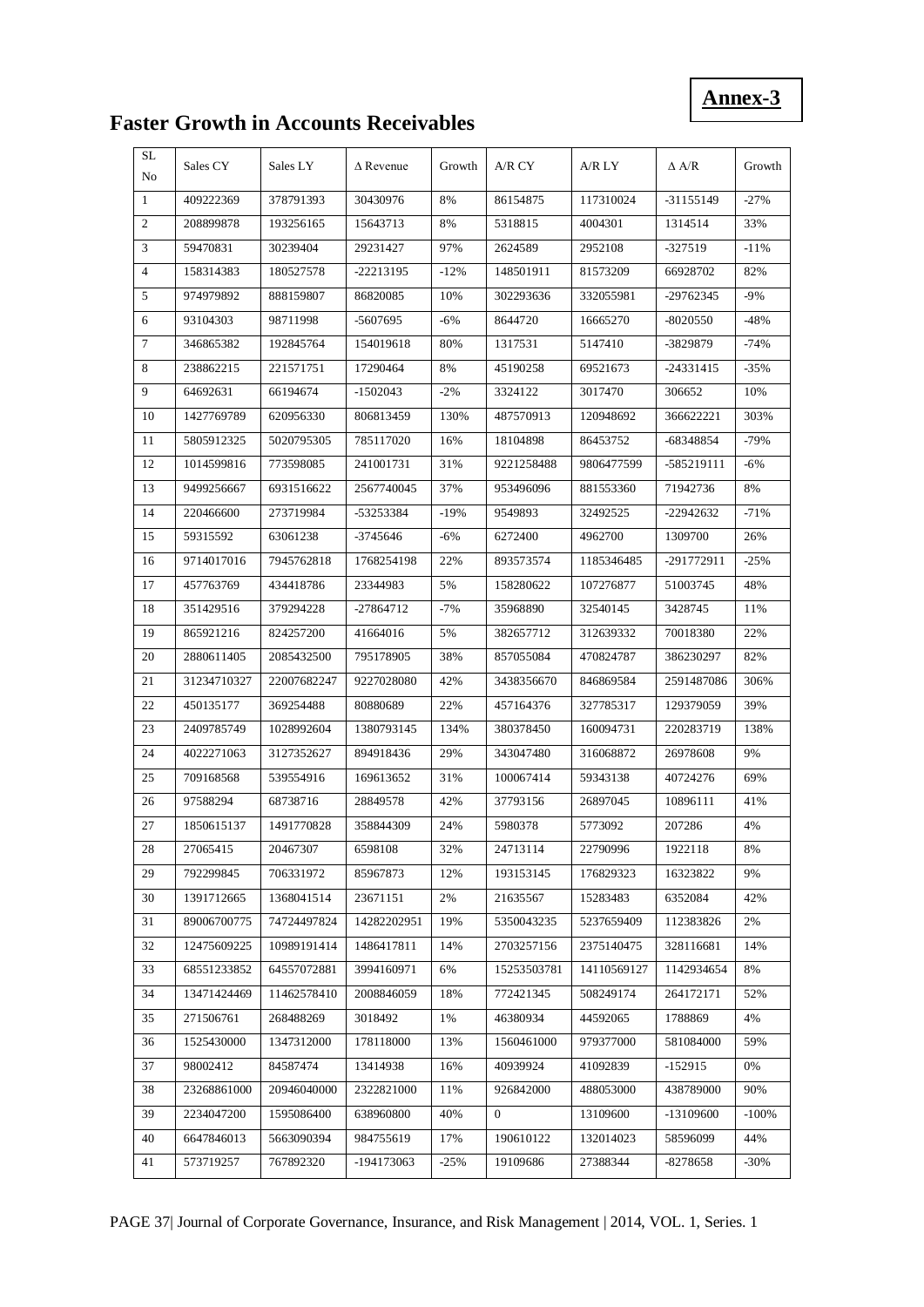# **Annex-3**

# **Faster Growth in Accounts Receivables**

| SL<br>No       | Sales CY    | Sales LY    | $\triangle$ Revenue | Growth | A/R CY         | A/R LY      | $\Delta$ A/R | Growth  |
|----------------|-------------|-------------|---------------------|--------|----------------|-------------|--------------|---------|
| 1              | 409222369   | 378791393   | 30430976            | 8%     | 86154875       | 117310024   | $-31155149$  | $-27%$  |
| 2              | 208899878   | 193256165   | 15643713            | 8%     | 5318815        | 4004301     | 1314514      | 33%     |
| 3              | 59470831    | 30239404    | 29231427            | 97%    | 2624589        | 2952108     | $-327519$    | $-11%$  |
| $\overline{4}$ | 158314383   | 180527578   | -22213195           | $-12%$ | 148501911      | 81573209    | 66928702     | 82%     |
| 5              | 974979892   | 888159807   | 86820085            | 10%    | 302293636      | 332055981   | -29762345    | -9%     |
| 6              | 93104303    | 98711998    | -5607695            | $-6\%$ | 8644720        | 16665270    | -8020550     | $-48%$  |
| 7              | 346865382   | 192845764   | 154019618           | 80%    | 1317531        | 5147410     | -3829879     | $-74%$  |
| 8              | 238862215   | 221571751   | 17290464            | 8%     | 45190258       | 69521673    | -24331415    | $-35%$  |
| 9              | 64692631    | 66194674    | $-1502043$          | $-2%$  | 3324122        | 3017470     | 306652       | 10%     |
| 10             | 1427769789  | 620956330   | 806813459           | 130%   | 487570913      | 120948692   | 366622221    | 303%    |
| 11             | 5805912325  | 5020795305  | 785117020           | 16%    | 18104898       | 86453752    | -68348854    | $-79%$  |
| 12             | 1014599816  | 773598085   | 241001731           | 31%    | 9221258488     | 9806477599  | -585219111   | -6%     |
| 13             | 9499256667  | 6931516622  | 2567740045          | 37%    | 953496096      | 881553360   | 71942736     | 8%      |
| 14             | 220466600   | 273719984   | -53253384           | $-19%$ | 9549893        | 32492525    | -22942632    | $-71%$  |
| 15             | 59315592    | 63061238    | -3745646            | $-6\%$ | 6272400        | 4962700     | 1309700      | 26%     |
| 16             | 9714017016  | 7945762818  | 1768254198          | 22%    | 893573574      | 1185346485  | -291772911   | $-25%$  |
| 17             | 457763769   | 434418786   | 23344983            | 5%     | 158280622      | 107276877   | 51003745     | 48%     |
| 18             | 351429516   | 379294228   | -27864712           | $-7\%$ | 35968890       | 32540145    | 3428745      | 11%     |
| 19             | 865921216   | 824257200   | 41664016            | 5%     | 382657712      | 312639332   | 70018380     | 22%     |
| 20             | 2880611405  | 2085432500  | 795178905           | 38%    | 857055084      | 470824787   | 386230297    | 82%     |
| 21             | 31234710327 | 22007682247 | 9227028080          | 42%    | 3438356670     | 846869584   | 2591487086   | 306%    |
| 22             | 450135177   | 369254488   | 80880689            | 22%    | 457164376      | 327785317   | 129379059    | 39%     |
| 23             | 2409785749  | 1028992604  | 1380793145          | 134%   | 380378450      | 160094731   | 220283719    | 138%    |
| 24             | 4022271063  | 3127352627  | 894918436           | 29%    | 343047480      | 316068872   | 26978608     | 9%      |
| 25             | 709168568   | 539554916   | 169613652           | 31%    | 100067414      | 59343138    | 40724276     | 69%     |
| 26             | 97588294    | 68738716    | 28849578            | 42%    | 37793156       | 26897045    | 10896111     | 41%     |
| 27             | 1850615137  | 1491770828  | 358844309           | 24%    | 5980378        | 5773092     | 207286       | 4%      |
| 28             | 27065415    | 20467307    | 6598108             | 32%    | 24713114       | 22790996    | 1922118      | 8%      |
| 29             | 792299845   | 706331972   | 85967873            | 12%    | 193153145      | 176829323   | 16323822     | 9%      |
| 30             | 1391712665  | 1368041514  | 23671151            | 2%     | 21635567       | 15283483    | 6352084      | 42%     |
| 31             | 89006700775 | 74724497824 | 14282202951         | 19%    | 5350043235     | 5237659409  | 112383826    | 2%      |
| 32             | 12475609225 | 10989191414 | 1486417811          | 14%    | 2703257156     | 2375140475  | 328116681    | 14%     |
| 33             | 68551233852 | 64557072881 | 3994160971          | 6%     | 15253503781    | 14110569127 | 1142934654   | 8%      |
| 34             | 13471424469 | 11462578410 | 2008846059          | 18%    | 772421345      | 508249174   | 264172171    | 52%     |
| 35             | 271506761   | 268488269   | 3018492             | 1%     | 46380934       | 44592065    | 1788869      | 4%      |
| 36             | 1525430000  | 1347312000  | 178118000           | 13%    | 1560461000     | 979377000   | 581084000    | 59%     |
| 37             | 98002412    | 84587474    | 13414938            | 16%    | 40939924       | 41092839    | $-152915$    | 0%      |
| 38             | 23268861000 | 20946040000 | 2322821000          | 11%    | 926842000      | 488053000   | 438789000    | 90%     |
| 39             | 2234047200  | 1595086400  | 638960800           | 40%    | $\overline{0}$ | 13109600    | -13109600    | $-100%$ |
| 40             | 6647846013  | 5663090394  | 984755619           | 17%    | 190610122      | 132014023   | 58596099     | 44%     |
| 41             | 573719257   | 767892320   | -194173063          | $-25%$ | 19109686       | 27388344    | -8278658     | $-30\%$ |

PAGE 37| Journal of Corporate Governance, Insurance, and Risk Management | 2014, VOL. 1, Series. 1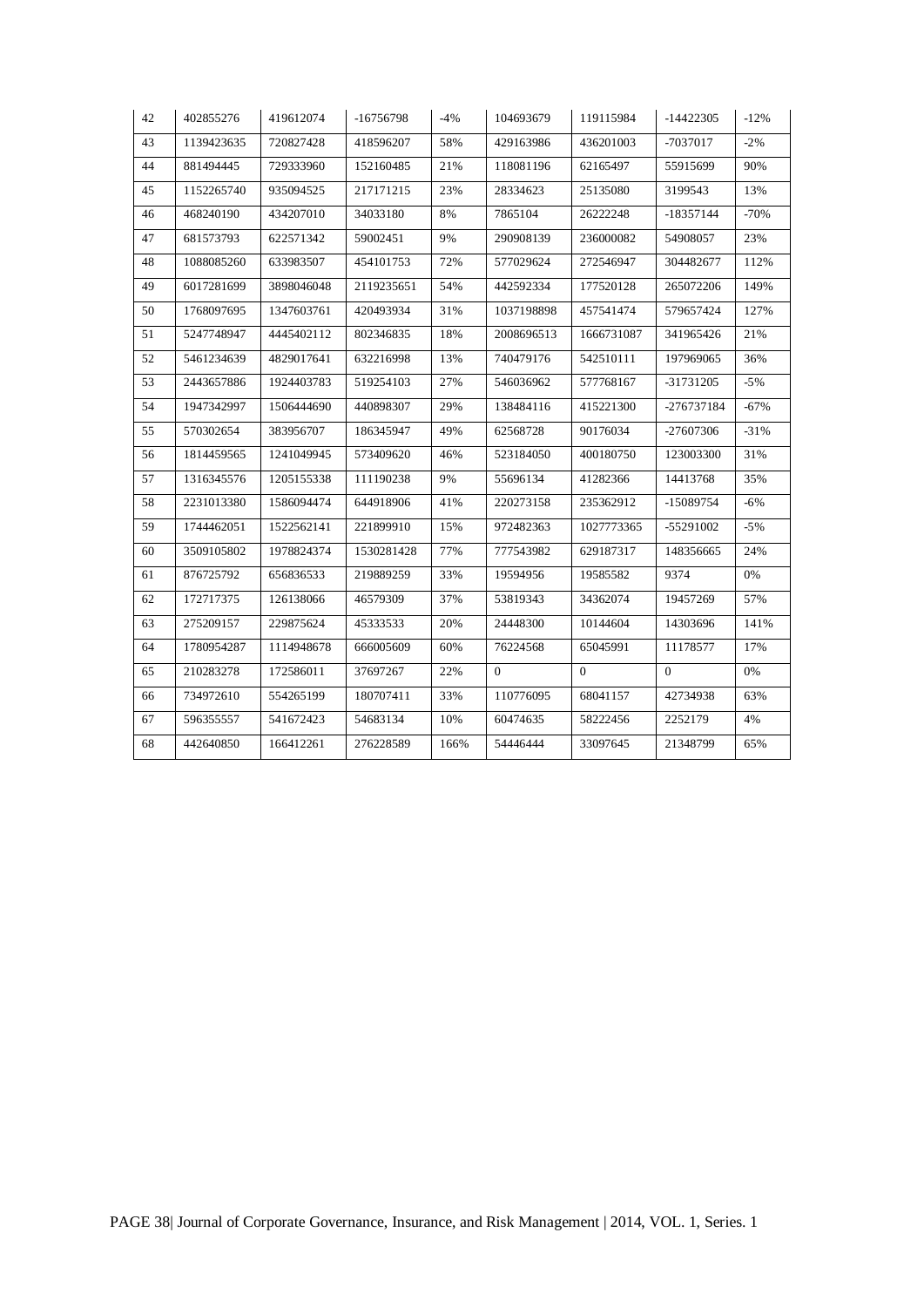| 42 | 402855276  | 419612074  | $-16756798$ | $-4%$ | 104693679    | 119115984      | $-14422305$    | $-12%$ |
|----|------------|------------|-------------|-------|--------------|----------------|----------------|--------|
| 43 | 1139423635 | 720827428  | 418596207   | 58%   | 429163986    | 436201003      | -7037017       | $-2\%$ |
| 44 | 881494445  | 729333960  | 152160485   | 21%   | 118081196    | 62165497       | 55915699       | 90%    |
| 45 | 1152265740 | 935094525  | 217171215   | 23%   | 28334623     | 25135080       | 3199543        | 13%    |
| 46 | 468240190  | 434207010  | 34033180    | 8%    | 7865104      | 26222248       | -18357144      | $-70%$ |
| 47 | 681573793  | 622571342  | 59002451    | 9%    | 290908139    | 236000082      | 54908057       | 23%    |
| 48 | 1088085260 | 633983507  | 454101753   | 72%   | 577029624    | 272546947      | 304482677      | 112%   |
| 49 | 6017281699 | 3898046048 | 2119235651  | 54%   | 442592334    | 177520128      | 265072206      | 149%   |
| 50 | 1768097695 | 1347603761 | 420493934   | 31%   | 1037198898   | 457541474      | 579657424      | 127%   |
| 51 | 5247748947 | 4445402112 | 802346835   | 18%   | 2008696513   | 1666731087     | 341965426      | 21%    |
| 52 | 5461234639 | 4829017641 | 632216998   | 13%   | 740479176    | 542510111      | 197969065      | 36%    |
| 53 | 2443657886 | 1924403783 | 519254103   | 27%   | 546036962    | 577768167      | -31731205      | $-5\%$ |
| 54 | 1947342997 | 1506444690 | 440898307   | 29%   | 138484116    | 415221300      | -276737184     | $-67%$ |
| 55 | 570302654  | 383956707  | 186345947   | 49%   | 62568728     | 90176034       | -27607306      | $-31%$ |
| 56 | 1814459565 | 1241049945 | 573409620   | 46%   | 523184050    | 400180750      | 123003300      | 31%    |
| 57 | 1316345576 | 1205155338 | 111190238   | 9%    | 55696134     | 41282366       | 14413768       | 35%    |
| 58 | 2231013380 | 1586094474 | 644918906   | 41%   | 220273158    | 235362912      | -15089754      | $-6\%$ |
| 59 | 1744462051 | 1522562141 | 221899910   | 15%   | 972482363    | 1027773365     | -55291002      | $-5%$  |
| 60 | 3509105802 | 1978824374 | 1530281428  | 77%   | 777543982    | 629187317      | 148356665      | 24%    |
| 61 | 876725792  | 656836533  | 219889259   | 33%   | 19594956     | 19585582       | 9374           | 0%     |
| 62 | 172717375  | 126138066  | 46579309    | 37%   | 53819343     | 34362074       | 19457269       | 57%    |
| 63 | 275209157  | 229875624  | 45333533    | 20%   | 24448300     | 10144604       | 14303696       | 141%   |
| 64 | 1780954287 | 1114948678 | 666005609   | 60%   | 76224568     | 65045991       | 11178577       | 17%    |
| 65 | 210283278  | 172586011  | 37697267    | 22%   | $\mathbf{0}$ | $\overline{0}$ | $\overline{0}$ | 0%     |
| 66 | 734972610  | 554265199  | 180707411   | 33%   | 110776095    | 68041157       | 42734938       | 63%    |
| 67 | 596355557  | 541672423  | 54683134    | 10%   | 60474635     | 58222456       | 2252179        | 4%     |
| 68 | 442640850  | 166412261  | 276228589   | 166%  | 54446444     | 33097645       | 21348799       | 65%    |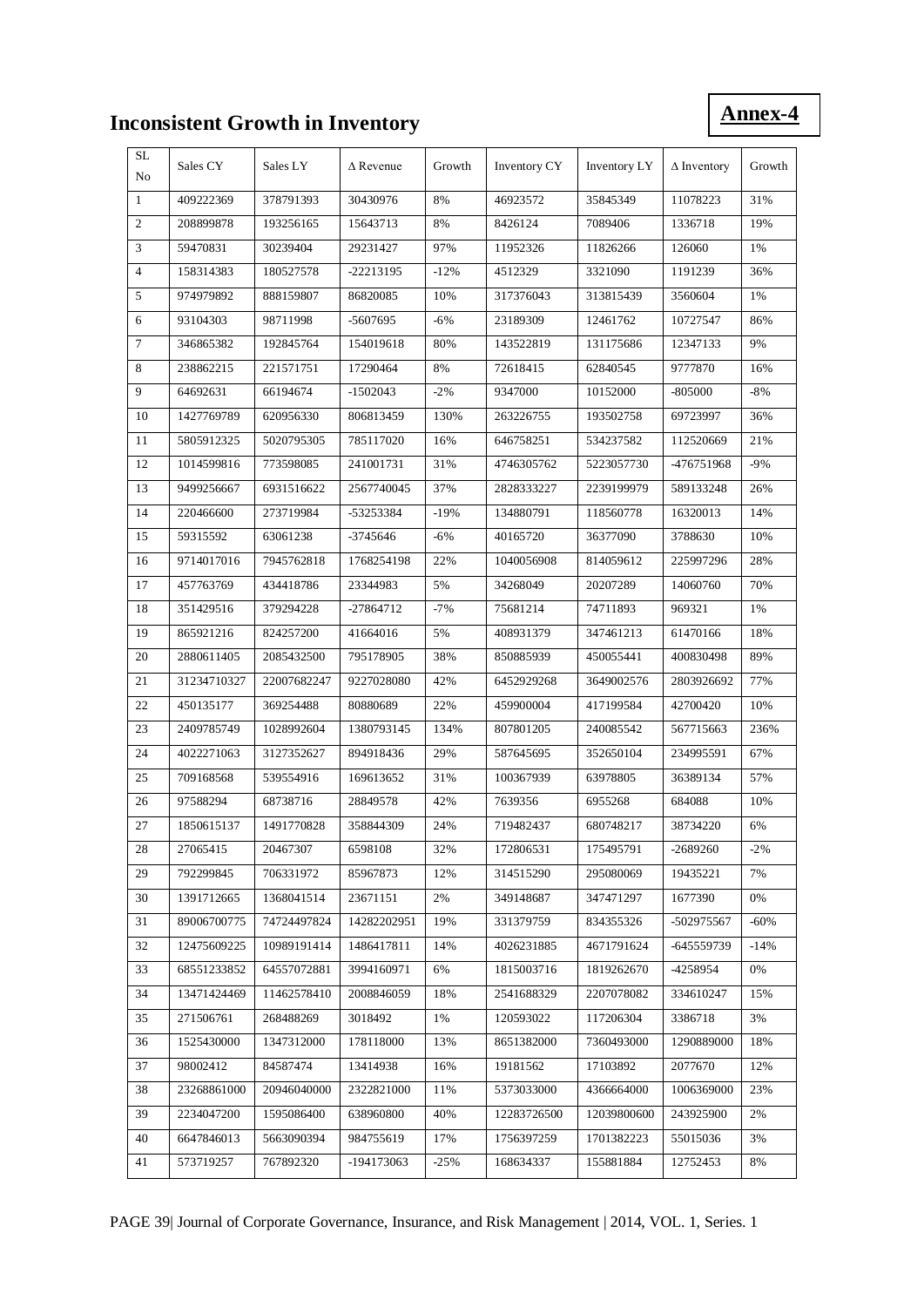# **Inconsistent Growth in Inventory**

**Annex-4**

| SL<br>No       | Sales CY    | Sales LY    | $\triangle$ Revenue | Growth | Inventory CY | Inventory LY | $\Delta$ Inventory | Growth |
|----------------|-------------|-------------|---------------------|--------|--------------|--------------|--------------------|--------|
| $\mathbf{1}$   | 409222369   | 378791393   | 30430976            | 8%     | 46923572     | 35845349     | 11078223           | 31%    |
| $\overline{2}$ | 208899878   | 193256165   | 15643713            | 8%     | 8426124      | 7089406      | 1336718            | 19%    |
| 3              | 59470831    | 30239404    | 29231427            | 97%    | 11952326     | 11826266     | 126060             | 1%     |
| $\overline{4}$ | 158314383   | 180527578   | -22213195           | $-12%$ | 4512329      | 3321090      | 1191239            | 36%    |
| 5              | 974979892   | 888159807   | 86820085            | 10%    | 317376043    | 313815439    | 3560604            | 1%     |
| 6              | 93104303    | 98711998    | -5607695            | $-6%$  | 23189309     | 12461762     | 10727547           | 86%    |
| $\overline{7}$ | 346865382   | 192845764   | 154019618           | 80%    | 143522819    | 131175686    | 12347133           | 9%     |
| 8              | 238862215   | 221571751   | 17290464            | 8%     | 72618415     | 62840545     | 9777870            | 16%    |
| 9              | 64692631    | 66194674    | $-1502043$          | $-2%$  | 9347000      | 10152000     | -805000            | $-8%$  |
| 10             | 1427769789  | 620956330   | 806813459           | 130%   | 263226755    | 193502758    | 69723997           | 36%    |
| 11             | 5805912325  | 5020795305  | 785117020           | 16%    | 646758251    | 534237582    | 112520669          | 21%    |
| 12             | 1014599816  | 773598085   | 241001731           | 31%    | 4746305762   | 5223057730   | -476751968         | $-9%$  |
| 13             | 9499256667  | 6931516622  | 2567740045          | 37%    | 2828333227   | 2239199979   | 589133248          | 26%    |
| 14             | 220466600   | 273719984   | -53253384           | $-19%$ | 134880791    | 118560778    | 16320013           | 14%    |
| 15             | 59315592    | 63061238    | -3745646            | $-6%$  | 40165720     | 36377090     | 3788630            | 10%    |
| 16             | 9714017016  | 7945762818  | 1768254198          | 22%    | 1040056908   | 814059612    | 225997296          | 28%    |
| 17             | 457763769   | 434418786   | 23344983            | 5%     | 34268049     | 20207289     | 14060760           | 70%    |
| 18             | 351429516   | 379294228   | $-27864712$         | $-7%$  | 75681214     | 74711893     | 969321             | 1%     |
| 19             | 865921216   | 824257200   | 41664016            | 5%     | 408931379    | 347461213    | 61470166           | 18%    |
| 20             | 2880611405  | 2085432500  | 795178905           | 38%    | 850885939    | 450055441    | 400830498          | 89%    |
| 21             | 31234710327 | 22007682247 | 9227028080          | 42%    | 6452929268   | 3649002576   | 2803926692         | 77%    |
| 22             | 450135177   | 369254488   | 80880689            | 22%    | 459900004    | 417199584    | 42700420           | 10%    |
| 23             | 2409785749  | 1028992604  | 1380793145          | 134%   | 807801205    | 240085542    | 567715663          | 236%   |
| 24             | 4022271063  | 3127352627  | 894918436           | 29%    | 587645695    | 352650104    | 234995591          | 67%    |
| 25             | 709168568   | 539554916   | 169613652           | 31%    | 100367939    | 63978805     | 36389134           | 57%    |
| 26             | 97588294    | 68738716    | 28849578            | 42%    | 7639356      | 6955268      | 684088             | 10%    |
| 27             | 1850615137  | 1491770828  | 358844309           | 24%    | 719482437    | 680748217    | 38734220           | 6%     |
| 28             | 27065415    | 20467307    | 6598108             | 32%    | 172806531    | 175495791    | $-2689260$         | $-2%$  |
| 29             | 792299845   | 706331972   | 85967873            | 12%    | 314515290    | 295080069    | 19435221           | 7%     |
| 30             | 1391712665  | 1368041514  | 23671151            | 2%     | 349148687    | 347471297    | 1677390            | 0%     |
| 31             | 89006700775 | 74724497824 | 14282202951         | 19%    | 331379759    | 834355326    | -502975567         | -60%   |
| 32             | 12475609225 | 10989191414 | 1486417811          | 14%    | 4026231885   | 4671791624   | -645559739         | $-14%$ |
| 33             | 68551233852 | 64557072881 | 3994160971          | 6%     | 1815003716   | 1819262670   | -4258954           | 0%     |
| 34             | 13471424469 | 11462578410 | 2008846059          | 18%    | 2541688329   | 2207078082   | 334610247          | 15%    |
| 35             | 271506761   | 268488269   | 3018492             | 1%     | 120593022    | 117206304    | 3386718            | 3%     |
| 36             | 1525430000  | 1347312000  | 178118000           | 13%    | 8651382000   | 7360493000   | 1290889000         | 18%    |
| 37             | 98002412    | 84587474    | 13414938            | 16%    | 19181562     | 17103892     | 2077670            | 12%    |
| 38             | 23268861000 | 20946040000 | 2322821000          | 11%    | 5373033000   | 4366664000   | 1006369000         | 23%    |
| 39             | 2234047200  | 1595086400  | 638960800           | 40%    | 12283726500  | 12039800600  | 243925900          | 2%     |
| 40             | 6647846013  | 5663090394  | 984755619           | 17%    | 1756397259   | 1701382223   | 55015036           | 3%     |
| 41             | 573719257   | 767892320   | -194173063          | $-25%$ | 168634337    | 155881884    | 12752453           | 8%     |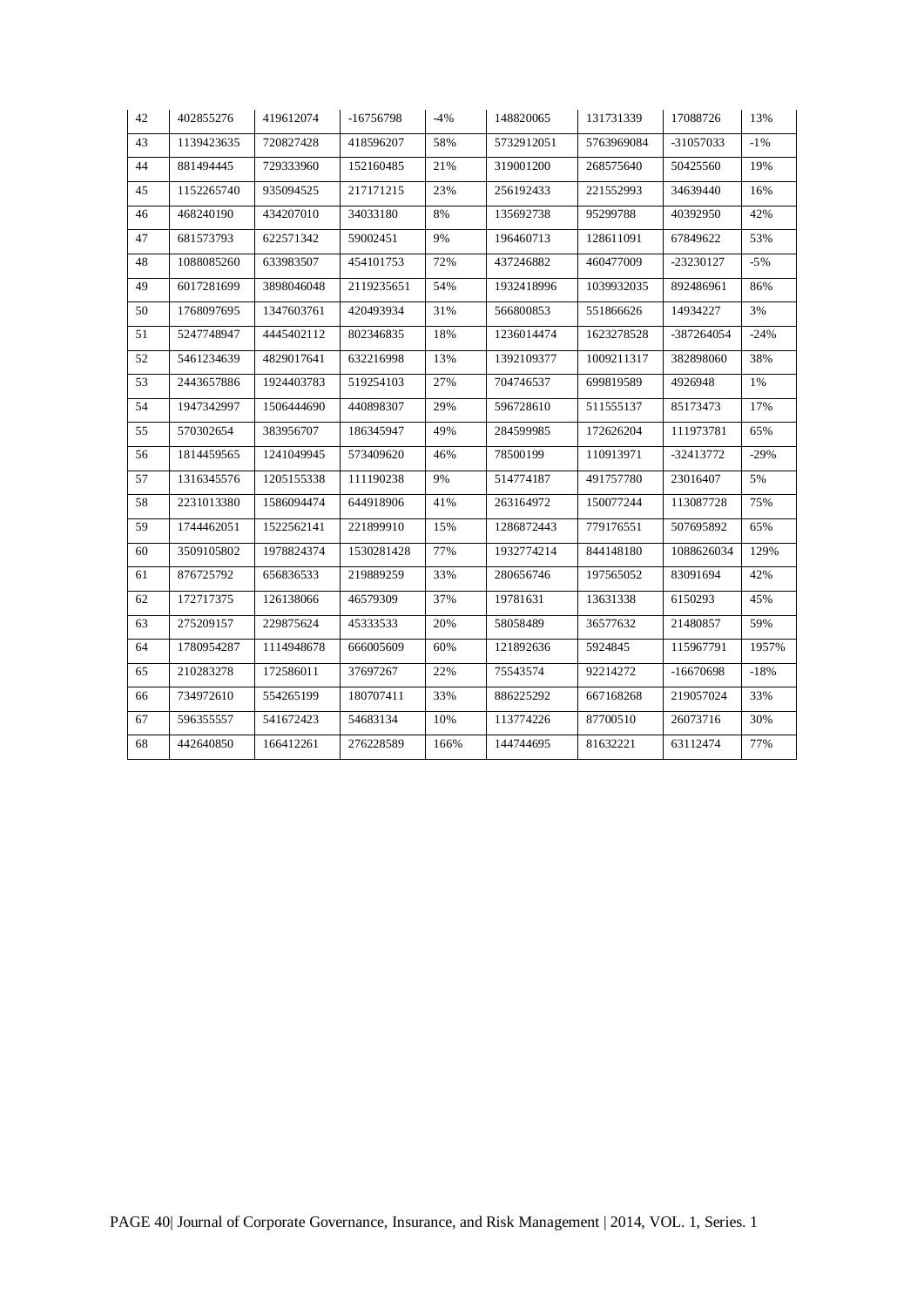| 43<br>58%<br>1139423635<br>720827428<br>418596207<br>44<br>881494445<br>729333960<br>152160485<br>21% | 5732912051<br>319001200<br>256192433<br>135692738 | 5763969084<br>268575640 | -31057033<br>50425560 | $-1\%$<br>19% |
|-------------------------------------------------------------------------------------------------------|---------------------------------------------------|-------------------------|-----------------------|---------------|
|                                                                                                       |                                                   |                         |                       |               |
|                                                                                                       |                                                   |                         |                       |               |
| 23%<br>45<br>1152265740<br>935094525<br>217171215                                                     |                                                   | 221552993               | 34639440              | 16%           |
| 34033180<br>8%<br>46<br>468240190<br>434207010                                                        |                                                   | 95299788                | 40392950              | 42%           |
| 47<br>9%<br>681573793<br>622571342<br>59002451                                                        | 196460713                                         | 128611091               | 67849622              | 53%           |
| 48<br>1088085260<br>633983507<br>454101753<br>72%                                                     | 437246882                                         | 460477009               | -23230127             | $-5%$         |
| 49<br>6017281699<br>3898046048<br>2119235651<br>54%                                                   | 1932418996                                        | 1039932035              | 892486961             | 86%           |
| 50<br>1768097695<br>1347603761<br>420493934<br>31%                                                    | 566800853                                         | 551866626               | 14934227              | 3%            |
| 51<br>5247748947<br>4445402112<br>18%<br>802346835                                                    | 1236014474                                        | 1623278528              | -387264054            | $-24%$        |
| 52<br>5461234639<br>4829017641<br>632216998<br>13%                                                    | 1392109377                                        | 1009211317              | 382898060             | 38%           |
| 53<br>2443657886<br>1924403783<br>27%<br>519254103                                                    | 704746537                                         | 699819589               | 4926948               | 1%            |
| 54<br>1947342997<br>29%<br>1506444690<br>440898307                                                    | 596728610                                         | 511555137               | 85173473              | 17%           |
| 55<br>570302654<br>383956707<br>186345947<br>49%                                                      | 284599985                                         | 172626204               | 111973781             | 65%           |
| 56<br>1814459565<br>1241049945<br>573409620<br>46%                                                    | 78500199                                          | 110913971               | -32413772             | $-29%$        |
| 57<br>1316345576<br>9%<br>1205155338<br>111190238                                                     | 514774187                                         | 491757780               | 23016407              | 5%            |
| 58<br>2231013380<br>1586094474<br>644918906<br>41%                                                    | 263164972                                         | 150077244               | 113087728             | 75%           |
| 59<br>1744462051<br>1522562141<br>221899910<br>15%                                                    | 1286872443                                        | 779176551               | 507695892             | 65%           |
| 60<br>3509105802<br>77%<br>1978824374<br>1530281428                                                   | 1932774214                                        | 844148180               | 1088626034            | 129%          |
| 33%<br>61<br>876725792<br>656836533<br>219889259                                                      | 280656746                                         | 197565052               | 83091694              | 42%           |
| 62<br>172717375<br>37%<br>126138066<br>46579309                                                       | 19781631                                          | 13631338                | 6150293               | 45%           |
| 20%<br>63<br>275209157<br>229875624<br>45333533                                                       | 58058489                                          | 36577632                | 21480857              | 59%           |
| 64<br>1780954287<br>1114948678<br>666005609<br>60%                                                    | 121892636                                         | 5924845                 | 115967791             | 1957%         |
| 65<br>210283278<br>172586011<br>37697267<br>22%                                                       | 75543574                                          | 92214272                | -16670698             | $-18%$        |
| 734972610<br>554265199<br>180707411<br>33%<br>66                                                      | 886225292                                         | 667168268               | 219057024             | 33%           |
| 67<br>596355557<br>541672423<br>54683134<br>10%                                                       | 113774226                                         | 87700510                | 26073716              | 30%           |
| 68<br>442640850<br>166412261<br>276228589<br>166%                                                     | 144744695                                         | 81632221                | 63112474              | 77%           |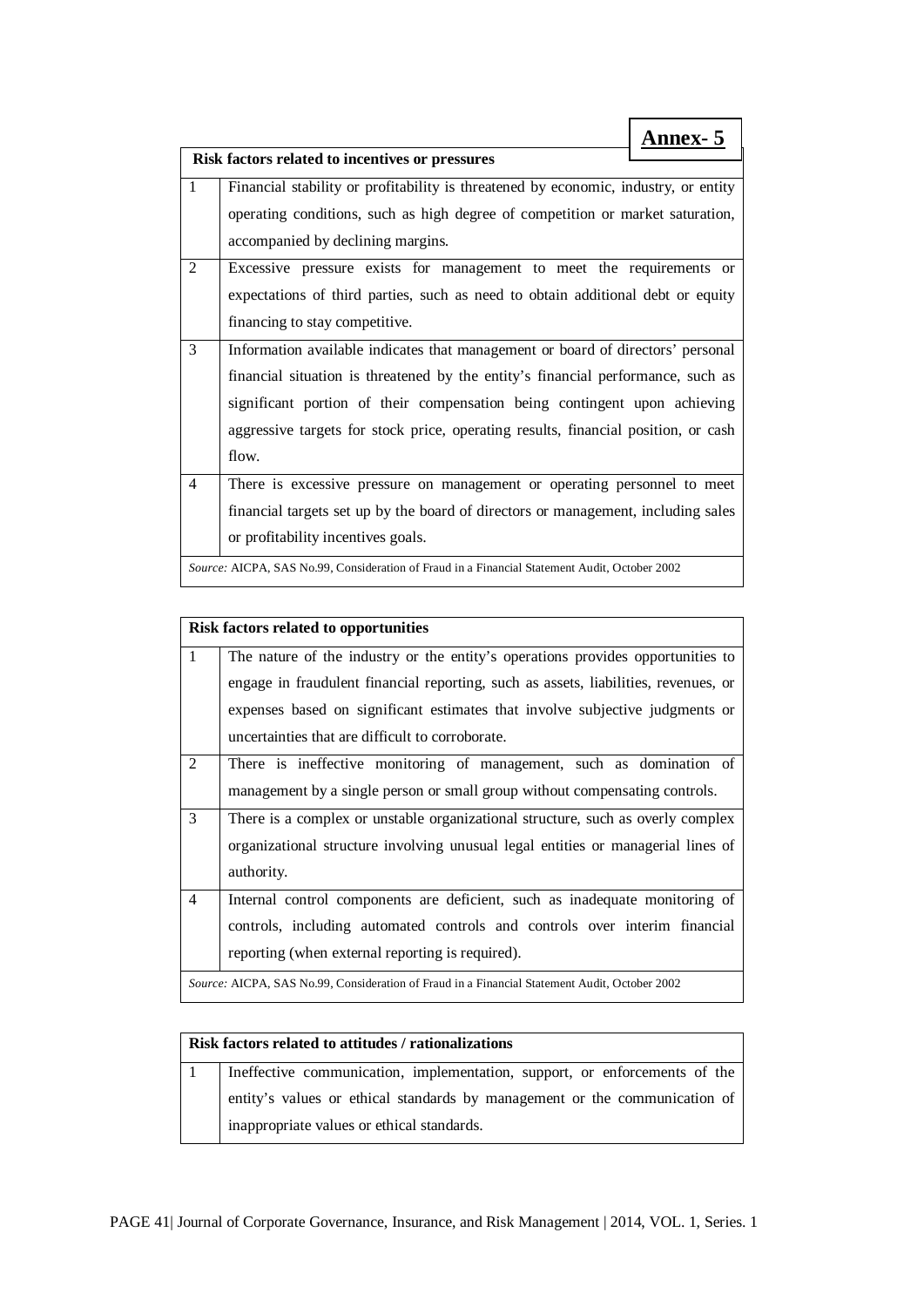|                | <b>Annex- 5</b>                                                                                                                                                                                                                                                                                                                                 |
|----------------|-------------------------------------------------------------------------------------------------------------------------------------------------------------------------------------------------------------------------------------------------------------------------------------------------------------------------------------------------|
|                | Risk factors related to incentives or pressures                                                                                                                                                                                                                                                                                                 |
| $\mathbf{1}$   | Financial stability or profitability is threatened by economic, industry, or entity<br>operating conditions, such as high degree of competition or market saturation,<br>accompanied by declining margins.                                                                                                                                      |
| $\overline{c}$ | Excessive pressure exists for management to meet the requirements or<br>expectations of third parties, such as need to obtain additional debt or equity<br>financing to stay competitive.                                                                                                                                                       |
| 3              | Information available indicates that management or board of directors' personal<br>financial situation is threatened by the entity's financial performance, such as<br>significant portion of their compensation being contingent upon achieving<br>aggressive targets for stock price, operating results, financial position, or cash<br>flow. |
| 4              | There is excessive pressure on management or operating personnel to meet<br>financial targets set up by the board of directors or management, including sales<br>or profitability incentives goals.<br>Source: AICPA, SAS No.99, Consideration of Fraud in a Financial Statement Audit, October 2002                                            |

|              | <b>Risk factors related to opportunities</b>                                                  |  |
|--------------|-----------------------------------------------------------------------------------------------|--|
| $\mathbf{1}$ | The nature of the industry or the entity's operations provides opportunities to               |  |
|              | engage in fraudulent financial reporting, such as assets, liabilities, revenues, or           |  |
|              | expenses based on significant estimates that involve subjective judgments or                  |  |
|              | uncertainties that are difficult to corroborate.                                              |  |
| 2            | There is ineffective monitoring of management, such as domination of                          |  |
|              | management by a single person or small group without compensating controls.                   |  |
| 3            | There is a complex or unstable organizational structure, such as overly complex               |  |
|              | organizational structure involving unusual legal entities or managerial lines of              |  |
|              | authority.                                                                                    |  |
| 4            | Internal control components are deficient, such as inadequate monitoring of                   |  |
|              | controls, including automated controls and controls over interim financial                    |  |
|              | reporting (when external reporting is required).                                              |  |
|              | Source: AICPA, SAS No.99, Consideration of Fraud in a Financial Statement Audit, October 2002 |  |

### **Risk factors related to attitudes / rationalizations**

1 Ineffective communication, implementation, support, or enforcements of the entity's values or ethical standards by management or the communication of inappropriate values or ethical standards.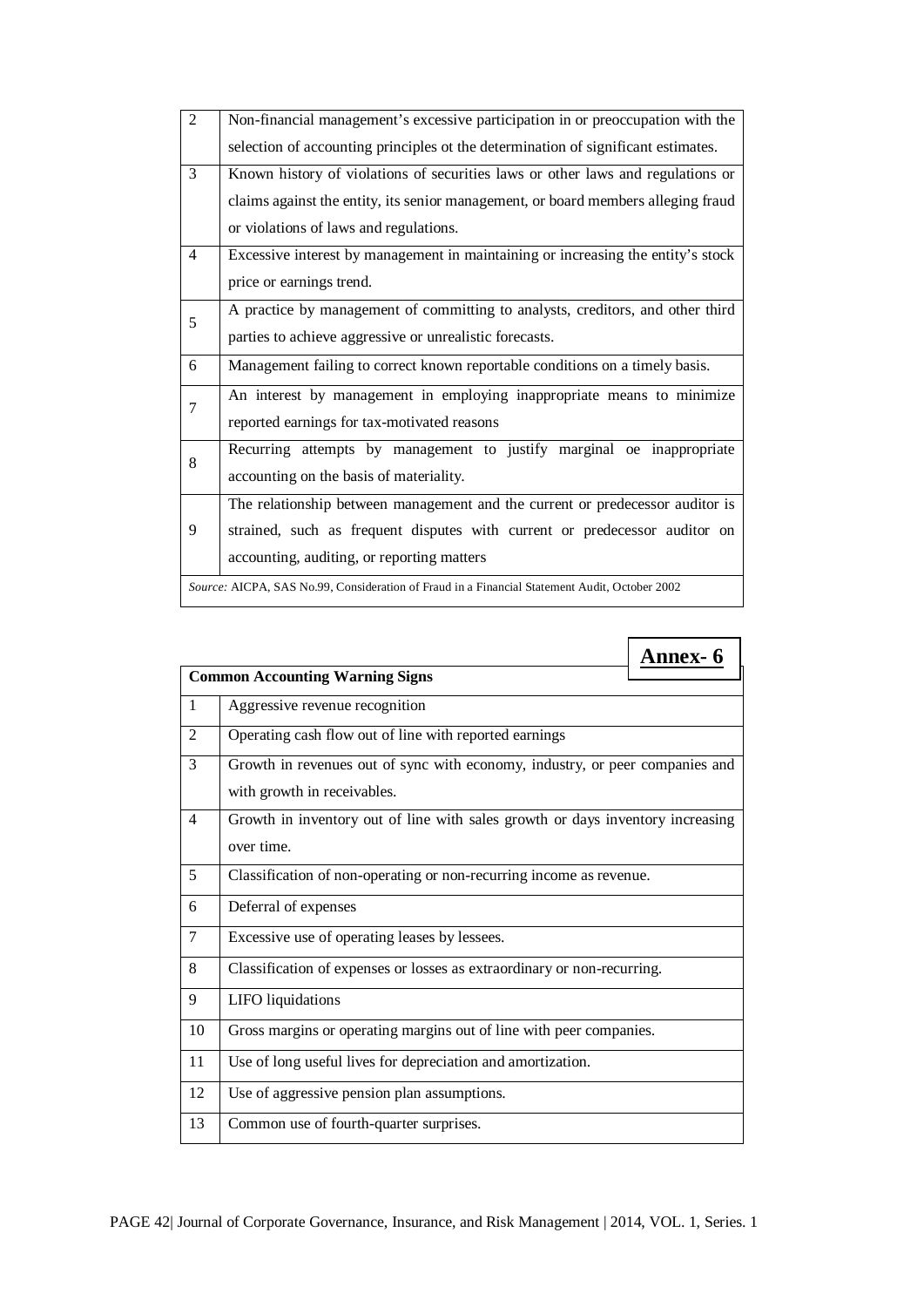| $\overline{2}$ | Non-financial management's excessive participation in or preoccupation with the   |  |  |
|----------------|-----------------------------------------------------------------------------------|--|--|
|                | selection of accounting principles ot the determination of significant estimates. |  |  |
| 3              | Known history of violations of securities laws or other laws and regulations or   |  |  |
|                | claims against the entity, its senior management, or board members alleging fraud |  |  |
|                | or violations of laws and regulations.                                            |  |  |
| $\overline{4}$ | Excessive interest by management in maintaining or increasing the entity's stock  |  |  |
|                | price or earnings trend.                                                          |  |  |
| 5              | A practice by management of committing to analysts, creditors, and other third    |  |  |
|                | parties to achieve aggressive or unrealistic forecasts.                           |  |  |
|                |                                                                                   |  |  |
| 6              | Management failing to correct known reportable conditions on a timely basis.      |  |  |
|                | An interest by management in employing inappropriate means to minimize            |  |  |
| 7              | reported earnings for tax-motivated reasons                                       |  |  |
|                | Recurring attempts by management to justify marginal oe inappropriate             |  |  |
| 8              | accounting on the basis of materiality.                                           |  |  |
|                | The relationship between management and the current or predecessor auditor is     |  |  |
| 9              | strained, such as frequent disputes with current or predecessor auditor on        |  |  |
|                | accounting, auditing, or reporting matters                                        |  |  |

|                |                                                                                                             | <b>Annex- 6</b> |  |
|----------------|-------------------------------------------------------------------------------------------------------------|-----------------|--|
|                | <b>Common Accounting Warning Signs</b>                                                                      |                 |  |
| 1              | Aggressive revenue recognition                                                                              |                 |  |
| $\overline{2}$ | Operating cash flow out of line with reported earnings                                                      |                 |  |
| 3              | Growth in revenues out of sync with economy, industry, or peer companies and<br>with growth in receivables. |                 |  |
| $\overline{4}$ | Growth in inventory out of line with sales growth or days inventory increasing<br>over time.                |                 |  |
| 5              | Classification of non-operating or non-recurring income as revenue.                                         |                 |  |
| 6              | Deferral of expenses                                                                                        |                 |  |
| 7              | Excessive use of operating leases by lessees.                                                               |                 |  |
| 8              | Classification of expenses or losses as extraordinary or non-recurring.                                     |                 |  |
| 9              | LIFO liquidations                                                                                           |                 |  |
| 10             | Gross margins or operating margins out of line with peer companies.                                         |                 |  |
| 11             | Use of long useful lives for depreciation and amortization.                                                 |                 |  |
| 12             | Use of aggressive pension plan assumptions.                                                                 |                 |  |
| 13             | Common use of fourth-quarter surprises.                                                                     |                 |  |